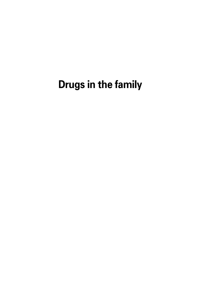# **Drugs in the family**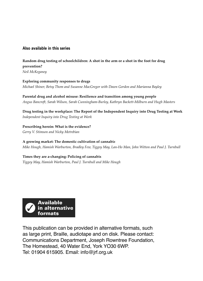# **Also available in this series**

# **Random drug testing of schoolchildren: A shot in the arm or a shot in the foot for drug prevention?**

*Neil McKeganey*

**Exploring community responses to drugs** *Michael Shiner, Betsy Thom and Susanne MacGregor with Dawn Gordon and Marianna Bayley*

**Parental drug and alcohol misuse: Resilience and transition among young people** *Angus Bancroft, Sarah Wilson, Sarah Cunningham-Burley, Kathryn Backett-Milburn and Hugh Masters*

**Drug testing in the workplace: The Report of the Independent Inquiry into Drug Testing at Work** *Independent Inquiry into Drug Testing at Work*

**Prescribing heroin: What is the evidence?** *Gerry V. Stimson and Nicky Metrebian*

**A growing market: The domestic cultivation of cannabi***s Mike Hough, Hamish Warburton, Bradley Few, Tiggey May, Lan-Ho Man, John Witton and Paul J. Turnbull*

**Times they are a-changing: Policing of cannabis** *Tiggey May, Hamish Warburton, Paul J. Turnbull and Mike Hough*

**Available Avaliable<br>in alternative** formats

This publication can be provided in alternative formats, such as large print, Braille, audiotape and on disk. Please contact: Communications Department, Joseph Rowntree Foundation, The Homestead, 40 Water End, York YO30 6WP. Tel: 01904 615905. Email: info@jrf.org.uk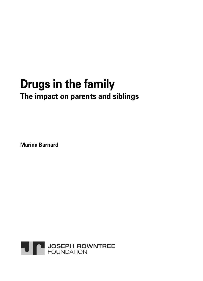# **Drugs in the family The impact on parents and siblings**

**Marina Barnard**

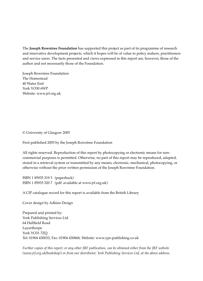The **Joseph Rowntree Foundation** has supported this project as part of its programme of research and innovative development projects, which it hopes will be of value to policy makers, practitioners and service users. The facts presented and views expressed in this report are, however, those of the author and not necessarily those of the Foundation.

Joseph Rowntree Foundation The Homestead 40 Water End York YO30 6WP Website: www.jrf.org.uk

© University of Glasgow 2005

First published 2005 by the Joseph Rowntree Foundation

All rights reserved. Reproduction of this report by photocopying or electronic means for noncommercial purposes is permitted. Otherwise, no part of this report may be reproduced, adapted, stored in a retrieval system or transmitted by any means, electronic, mechanical, photocopying, or otherwise without the prior written permission of the Joseph Rowntree Foundation.

ISBN 1 85935 319 3 (paperback) ISBN 1 85935 320 7 (pdf: available at www.jrf.org.uk)

A CIP catalogue record for this report is available from the British Library.

Cover design by Adkins Design

Prepared and printed by: York Publishing Services Ltd 64 Hallfield Road Layerthorpe York YO31 7ZQ Tel: 01904 430033; Fax: 01904 430868; Website: www.yps-publishing.co.uk

*Further copies of this report, or any other JRF publication, can be obtained either from the JRF website (www.jrf.org.uk/bookshop/) or from our distributor, York Publishing Services Ltd, at the above address.*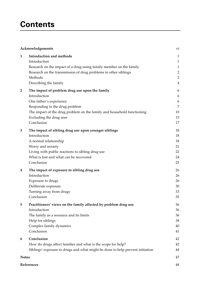# **Contents**

| Acknowledgements |                                                                                                                                                                                                                                                | vi                                                                                                 |
|------------------|------------------------------------------------------------------------------------------------------------------------------------------------------------------------------------------------------------------------------------------------|----------------------------------------------------------------------------------------------------|
| 1                | Introduction and methods<br>Introduction<br>Research on the impact of a drug-using family member on the family<br>Research on the transmission of drug problems to other siblings<br>Methods<br>Describing the family                          | $\mathbf{1}$<br>$\mathbf{1}$<br>$\mathbf{1}$<br>$\overline{2}$<br>$\overline{2}$<br>$\overline{4}$ |
| $\overline{2}$   | The impact of problem drug use upon the family<br>Introduction<br>One father's experience<br>Responding to the drug problem<br>The impact of the drug problem on the family and household functioning<br>Excluding the drug user<br>Conclusion | 6<br>6<br>6<br>7<br>10<br>15<br>17                                                                 |
| 3                | The impact of sibling drug use upon younger siblings<br>Introduction<br>A normal relationship<br>Worry and anxiety<br>Living with public reactions to sibling drug use<br>What is lost and what can be recovered<br>Conclusion                 | 18<br>18<br>18<br>21<br>22<br>24<br>25                                                             |
| 4                | The impact of exposure to sibling drug use<br>Introduction<br>Exposure to drugs<br>Deliberate exposure<br>Turning away from drugs<br>Conclusion                                                                                                | 26<br>26<br>26<br>30<br>33<br>35                                                                   |
| 5                | Practitioners' views on the family affected by problem drug use<br>Introduction<br>The family as a resource and its limits<br>Help for siblings<br>Complex family dynamics<br>Conclusion                                                       | 36<br>36<br>36<br>38<br>40<br>41                                                                   |
| 6                | Conclusion<br>How do drugs affect families and what is the scope for help?<br>Siblings' exposure to drugs and what might be done to help prevent initiation                                                                                    | 42<br>42<br>44                                                                                     |
|                  | <b>Notes</b>                                                                                                                                                                                                                                   |                                                                                                    |
|                  | References                                                                                                                                                                                                                                     |                                                                                                    |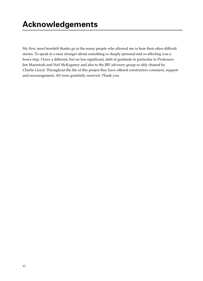My first, most heartfelt thanks go to the many people who allowed me to hear their often difficult stories. To speak to a near stranger about something so deeply personal and so affecting was a brave step. I have a different, but no less significant, debt of gratitude in particular to Professors Jim Macintosh and Neil McKeganey and also to the JRF advisory group so ably chaired by Charlie Lloyd. Throughout the life of this project they have offered constructive comment, support and encouragement. All were gratefully received. Thank you.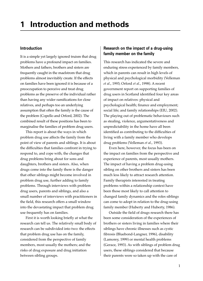# **1 Introduction and methods**

### **Introduction**

It is a simple yet largely ignored truism that drug problems have a profound impact on families. Mothers and fathers, brothers and sisters are frequently caught in the maelstrom that drug problems almost inevitably create. If the effects on families have been ignored it is because of a preoccupation to perceive and treat drug problems as the preserve of the individual rather than having any wider ramifications for close relatives, and perhaps too an underlying assumption that often the family is the cause of the problem (Copello and Orford, 2002). The combined result of these positions has been to marginalise the families of problem drug users.

This report is about the ways in which problem drug use affects the family from the point of view of parents and siblings. It is about the difficulties that families confront in trying to respond to, and cope with, the changes that drug problems bring about for sons and daughters, brothers and sisters. Also, when drugs come into the family there is the danger that other siblings might become involved in problem drug use, further adding to family problems. Through interviews with problem drug users, parents and siblings, and also a small number of interviews with practitioners in the field, this research offers a small window into the devastating impact that problem drug use frequently has on families.

First it is worth looking briefly at what the research can tell us. The relatively small body of research can be subdivided into two: the effects that problem drug use has on the family, considered from the perspective of family members, most usually the mothers; and the risks of drug exposure and drug initiation between sibling groups.

# **Research on the impact of a drug-using family member on the family**

This research has indicated the severe and enduring stress experienced by family members, which in parents can result in high levels of physical and psychological morbidity (Velleman *et al*., 1993; Orford *et al*., 1998). A recent government report on supporting families of drug users in Scotland identified four key areas of impact on relatives: physical and psychological health; finance and employment; social life; and family relationships (EIU, 2002). The playing out of problematic behaviours such as stealing, violence, argumentativeness and unpredictability in the home have all been identified as contributing to the difficulties of living with a family member who develops drug problems (Velleman *et al*., 1993).

Even here, however, the focus has been on the impact on families from the perspective and experience of parents, most usually mothers. The impact of having a problem drug-using sibling on other brothers and sisters has been much less likely to attract research attention. Family therapists interested in treating problems within a relationship context have been those most likely to call attention to changed family dynamics and the roles siblings can come to adopt in relation to the drug-using family member (Huberty and Huberty, 1986).

Outside the field of drugs research there has been some consideration of the experiences of brothers or sisters living in families where their siblings have chronic illnesses such as cystic fibrosis (Bluebond-Langner, 1996), disability (Lamorey, 1999) or mental health problems (Gerace, 1993). As with siblings of problem drug users, these siblings considered that because their parents were so taken up with the care of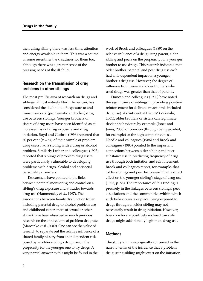their ailing sibling there was less time, attention and energy available to them. This was a source of some resentment and sadness for them too, although there was a greater sense of the pressing needs of the ill child.

# **Research on the transmission of drug problems to other siblings**

The most prolific area of research on drugs and siblings, almost entirely North American, has considered the likelihood of exposure to and transmission of (problematic and other) drug use between siblings. Younger brothers or sisters of drug users have been identified as at increased risk of drug exposure and drug initiation. Boyd and Guthrie (1996) reported that 60 per cent ( $n = 54$ ) of their sample of problem drug users had a sibling with a drug or alcohol problem. Similarly Luthar and colleagues (1993) reported that siblings of problem drug users were particularly vulnerable to developing problems with drugs, alcohol and antisocial personality disorders.

Researchers have pointed to the links between parental monitoring and control on a sibling's drug exposure and attitudes towards drug use (Hammersley *et al*., 1997). The associations between family dysfunction (often including parental drug or alcohol problem use and childhood experiences of sexual or other abuse) have been observed in much previous research on the antecedents of problem drug use (Marcenko *et al*., 2000). One can see the value of research to separate out the relative influence of a shared family history from an independent risk posed by an older sibling's drug use on the propensity for the younger one to try drugs. A very partial answer to this might be found in the

work of Brook and colleagues (1989) on the relative influence of a drug-using parent, elder sibling and peers on the propensity for a younger brother to use drugs. This research indicated that older brother, parental and peer drug use each had an independent impact on a younger brother's drug use. However, the degree of influence from peers and older brothers who used drugs was greater than that of parents.

Duncan and colleagues (1996) have noted the significance of siblings in providing positive reinforcement for delinquent acts (this included drug use). As 'influential friends' (Vakalahi, 2001), older brothers or sisters can legitimate deviant behaviours by example (Jones and Jones, 2000) or coercion (through being goaded, for example) or through competitiveness. Needle and colleagues (1986) and Brook and colleagues (1983) pointed to the important connections between older sibling and peer substance use in predicting frequency of drug use through both imitation and reinforcement. Brook and colleagues report, for example, that 'older siblings and peer factors each had a direct effect on the younger sibling's stage of drug use' (1983, p. 88). The importance of this finding is precisely in the linkages between siblings, peer associations and the communities within which such behaviours take place. Being exposed to drugs through an elder sibling may not necessarily result in drug initiation. However, friends who are positively inclined towards drugs might additionally legitimate drug use.

#### **Methods**

The study aim was originally conceived in the narrow terms of the influence that a problem drug-using sibling might exert on the initiation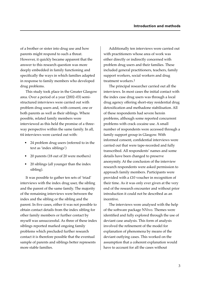of a brother or sister into drug use and how parents might respond to such a threat. However, it quickly became apparent that the answer to this research question was more deeply embedded in family functioning and specifically the ways in which families adapted in response to family members who developed drug problems.

This study took place in the Greater Glasgow area. Over a period of a year (2002–03) semistructured interviews were carried out with problem drug users and, with consent, one or both parents as well as their siblings. Where possible, related family members were interviewed as this held the promise of a threeway perspective within the same family. In all, 64 interviews were carried out with:

- 24 problem drug users (referred to in the text as 'index siblings')
- 20 parents (18 out of 20 were mothers)
- 20 siblings (all younger than the index sibling).

It was possible to gather ten sets of 'triad' interviews with the index drug user, the sibling and the parent of the same family. The majority of the remaining interviews were between the index and the sibling or the sibling and the parent. In five cases, either it was not possible to obtain contact details from the index sibling for other family members or further contact by myself was unsuccessful. As three of these index siblings reported marked ongoing family problems which precluded further research contact it is therefore possible that the eventual sample of parents and siblings better represents more stable families.

Additionally ten interviews were carried out with practitioners whose area of work was either directly or indirectly concerned with problem drug users and their families. These included general practitioners, teachers, family support workers, social workers and drug treatment workers.1

The principal researcher carried out all the interviews. In most cases the initial contact with the index case drug users was through a local drug agency offering short-stay residential drug detoxification and methadone stabilisation. All of these respondents had severe heroin problems, although some reported concurrent problems with crack cocaine use. A small number of respondents were accessed through a family support group in Glasgow. With informed consent, confidential interviews were carried out that were tape-recorded and fully transcribed. All respondents' names and some details have been changed to preserve anonymity. At the conclusion of the interview research respondents were asked permission to approach family members. Participants were provided with a £10 voucher in recognition of their time. As it was only ever given at the very end of the research encounter and without prior introduction it could not be described as an incentive.

The interviews were analysed with the help of the software package NVivo. Themes were identified and fully explored through the use of deviant case analysis. This form of analysis involved the refinement of the model for explanation of phenomena by means of the deviant outlying cases. This worked on the assumption that a coherent explanation would have to account for all the cases without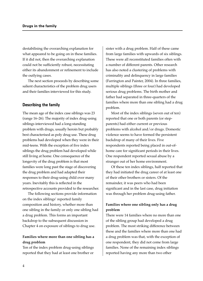destabilising the overarching explanation for what appeared to be going on in these families. If it did not, then the overarching explanation could not be sufficiently robust, necessitating either its abandonment or refinement to include the outlying cases.

The next section proceeds by describing some salient characteristics of the problem drug users and their families interviewed for this study.

#### **Describing the family**

The mean age of the index case siblings was 23 (range 16–26). The majority of index drug-using siblings interviewed had a long-standing problem with drugs, usually heroin but probably best characterised as poly drug use. These drug problems had developed when they were in their mid-teens. With the exception of five index siblings the drug problem had developed while still living at home. One consequence of the longevity of the drug problem is that most families were long past the stage of discovering the drug problem and had adapted their responses to their drug-using child over many years. Inevitably this is reflected in the retrospective accounts provided to the researcher.

The following sections provide information on the index siblings' reported family composition and history, whether more than one sibling in the family or only one sibling had a drug problem. This forms an important backdrop to the subsequent discussion in Chapter 4 on exposure of siblings to drug use.

#### **Families where more than one sibling has a drug problem**

Ten of the index problem drug-using siblings reported that they had at least one brother or

sister with a drug problem. Half of these came from large families with upwards of six siblings. These were all reconstituted families often with a number of different parents. Other research has also noted a clustering of problems with criminality and delinquency in large families (Farrington and Painter, 2004). In three families, multiple siblings (three or four) had developed serious drug problems. The birth mother and father had separated in three-quarters of the families where more than one sibling had a drug problem.

Most of the index siblings (seven out of ten) reported that one or both parents (or stepparents) had either current or previous problems with alcohol and/or drugs. Domestic violence seems to have formed the persistent backdrop of many of their lives. Five respondents reported being placed in out-ofhome care for significant periods in their lives. One respondent reported sexual abuse by a stranger out of her home environment.

Of these ten index siblings, half reported that they had initiated the drug career of at least one of their other brothers or sisters. Of the remainder, it was peers who had been significant and in the last case, drug initiation was through her problem drug-using father.

### **Families where one sibling only has a drug problem**

There were 14 families where no more than one of the sibling group had developed a drug problem. The most striking difference between these and the families where more than one had a drug problem was that, with the exception of one respondent, they did not come from large families. None of the remaining index siblings reported having any more than two other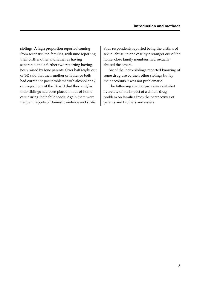siblings. A high proportion reported coming from reconstituted families, with nine reporting their birth mother and father as having separated and a further two reporting having been raised by lone parents. Over half (eight out of 14) said that their mother or father or both had current or past problems with alcohol and/ or drugs. Four of the 14 said that they and/or their siblings had been placed in out-of-home care during their childhoods. Again there were frequent reports of domestic violence and strife.

Four respondents reported being the victims of sexual abuse, in one case by a stranger out of the home; close family members had sexually abused the others.

Six of the index siblings reported knowing of some drug use by their other siblings but by their accounts it was not problematic.

The following chapter provides a detailed overview of the impact of a child's drug problem on families from the perspectives of parents and brothers and sisters.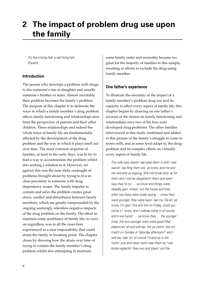# **2 The impact of problem drug use upon the family**

It's like a living hell, a real living hell. (Parent)

#### **Introduction**

The person who develops a problem with drugs is also someone's son or daughter and usually someone's brother or sister. Almost inevitably their problem becomes the family's problem. The purpose of this chapter is to delineate the ways in which a family member's drug problem affects family functioning and relationships seen from the perspective of parents and their other children. These relationships and indeed the whole tenor of family life are fundamentally affected by the development of the drug problem and the way in which it plays itself out over time. The most common response of families, at least in the early days, was to try to find a way to accommodate the problem whilst also seeking a solution to it. However, set against this was the near daily onslaught of problems brought about by trying to live in close proximity to someone with drug dependency issues. The family impulse to contain and solve the problem creates great stress, conflict and disturbance between family members, which are greatly compounded by the ongoing seemingly relentless negative impacts of the drug problem on the family. The effort to maintain some semblance of family life, to carry on regardless, was in all the cases here experienced as a near impossibility that could strain the family to breaking point. The chapter closes by showing how the strain over time of trying to contain the family member's drug problem whilst also attempting to maintain

some family order and normality became too great for the majority of families in this sample, resulting in efforts to exclude the drug-using family member.

### **One father's experience**

To illustrate the enormity of the impact of a family member's problem drug use and its capacity to affect every aspect of family life, this chapter begins by drawing on one father's account of the strains on family functioning and relationships once two of his four sons developed drug problems. The other families interviewed in this study confirmed and added to this picture of the family's struggle to come to terms with, and at some level adapt to, the drug problem and its complex effects on virtually every aspect of family life.

The wife was wantin' tae keep them in and I was wantin' tae fling them oot, ye know, and me and her wid end up arguing. She wid kinda stick up for them and I wid be slaughterin' them and sayin' naw they're no' … ye know and things were steadily goin' missin' out the hoose and they other two boys were kinda saying … know they were younger, they were sayin' tae me 'Da eh, ye know, I'm goin' this and this on Friday, could you come in', know, and I widnae come in of course and it wis fuckin' … ye know they … the younger ones, the two younger ones were good fitba' players an' all and wid say 'are ye comin' tae oor match on Sunday or Saturday afternoon?' and I wid say 'aye' an' of course I'd end up in the fuckin' pub and never went near them so I wis kinda neglectin' they two and stayin' out the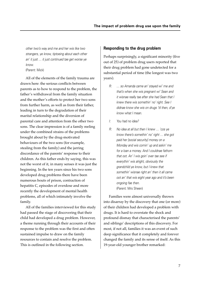other two's way and me and her wis like two strangers, ye know, tiptoeing about each other an' it just … it just continued tae get worse ye know. (Parent: Mick)

All of the elements of the family trauma are drawn here: the serious conflicts between parents as to how to respond to the problem, the father's withdrawal from the family situation and the mother's efforts to protect her two sons from further harm, as well as from their father, leading in turn to the degradation of their marital relationship and the diversion of parental care and attention from the other two sons. The clear impression is of a family reeling under the combined strains of the problems brought about by the drug-motivated behaviours of the two sons (for example, stealing from the family) and the jarring discordance of the parents' response to their children. As this father ends by saying, this was not the worst of it, in many senses it was just the beginning. In the ten years since his two sons developed drug problems there have been numerous bouts of prison, contraction of hepatitis C, episodes of overdose and more recently the development of mental health problems, all of which intimately involve the family.

All of the families interviewed for this study had passed the stage of discovering that their child had developed a drug problem. However, a theme running through their accounts of their response to the problem was the first and often sustained impulse to draw on the family resources to contain and resolve the problem. This is outlined in the following section.

### **Responding to the drug problem**

Perhaps surprisingly, a significant minority (five out of 25) of problem drug users reported that their drug problem had gone undetected for a substantial period of time (the longest was two years).

- R: … so Amanda came an' stayed wi' me and that's when she wis pregnant wi' Sean and it wisnae really tae after she had Sean that I knew there wis somethin' no' right. See I didnae know she wis on drugs 'til then, d'ye know what I mean.
- I: You had no idea?
- R: No idea at all but then I knew … 'cos ye know there's somethin' no' right … she got paid her [social security] money on a Monday and wis comin' up and askin' me for a loan a money. And I couldnae fathom that oot. An' I wis goin' over tae see if everythin' wis alright, obviously the grandchild ye know, but I knew that somethin' wisnae right an' then it all came oot an' that wis eight year ago and it's been ongoing fae then. (Parent: Mrs Sheen)

Families were almost universally thrown into disarray by the discovery that one (or more) of their children had developed a problem with drugs. It is hard to overstate the shock and profound dismay that characterised the parents' and siblings' descriptions of this discovery. For most, if not all, families it was an event of such deep significance that it completely and forever changed the family and its sense of itself. As this 19-year-old younger brother remarked: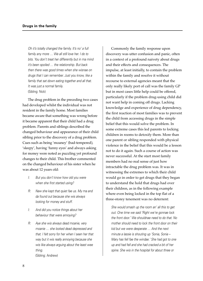Oh it's totally changed the family. It's no' a full family any more … We all still love her. I do to bits. You don't treat her differently but in ma mind it's been spoiled … the relationship. But back then there was good times when she wisnae on drugs that I can remember. Just you know, like a family that sat down eating together and all that. It was just a normal family. (Sibling: Nick)

The drug problem in the preceding two cases had developed whilst the individual was not resident in the family home. Most families became aware that something was wrong before it became apparent that their child had a drug problem. Parents and siblings described the changed behaviour and appearance of their child sibling prior to the discovery of a drug problem. Cues such as being 'moaney' (bad-tempered), 'sleepy', having 'funny eyes' and always asking for money were noted as puzzling yet profound changes to their child. This brother commented on the changed behaviour of his sister when he was about 12 years old:

- I: But you don't know how old you were when she first started using?
- R: Naw she kept that quiet fae us. My ma and da found out because she wis always looking for money and stuff.
- I: And did you notice things about her behaviour that were annoying?
- R: Aye she wis always dead moanie, very moanie … she looked dead depressed and that. I felt sorry for her when I seen her that way but it wis really annoying because she wis like always arguing about the least wee thing. (Sibling: Andrew)

Commonly the family response upon discovery was utter confusion and panic, often in a context of a profound naivety about drugs and their effects and consequences. The impulse, at least initially, to contain the problem within the family and resolve it without recourse to external agencies meant that the only really likely port of call was the family GP but in most cases little help could be offered, particularly if the problem drug-using child did not want help in coming off drugs. Lacking knowledge and experience of drug dependency, the first reaction of most families was to prevent the child from accessing drugs in the simple belief that this would solve the problem. In some extreme cases this led parents to locking children in rooms to detoxify them. More than one parent or sibling responded with physical violence in the belief that this would be a lesson not to do it again. Such a course of action was never successful. At the start most family members had no real sense of just how intractable the drug problem was. It was in witnessing the extremes to which their child would go in order to get drugs that they began to understand the hold that drugs had over their children, as in the following example where even being locked in the top flat of a three-storey tenement was no deterrent:

She would smash up the room an' all this to get out. One time we said 'Right we're gonnae lock the front door.' We shouldnae need to do that. No mother should need to lock the front door on their kid but we were desperate … And the next minute a lassie is shouting up 'Sonia, Sonia – Mary has fell fae the windae.' She had got to one up and had fell and she had cracked a bit of her spine. She wis in the hospital for about three or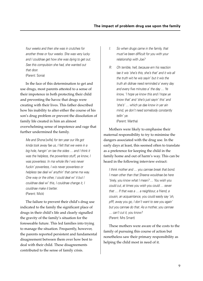four weeks and then she was in crutches for another three or four weeks. She was very lucky and I couldnae get how she was dying to get out. See this compulsion she had, she wanted out that door. (Parent: Sonia)

In the face of this determination to get and use drugs, most parents attested to a sense of their impotence in both protecting their child and preventing the havoc that drugs were creating with their lives. This father described how his inability to alter either the course of his son's drug problem or prevent the dissolution of family life created in him an almost overwhelming sense of impotence and rage that further undermined the family.

Me and Shona [wife] for ten year our life got kinda took away fae us, I felt that we were in a big hole, hangin' on tae the sides … and I think it was the helpless, the powerless stuff, ye know, I was powerless. In ma whole life I wis never fuckin' powerless, I wis never powerless or helpless tae deal wi' anythin' that came ma way. One way or the other, I could deal wi' it but I couldnae deal wi' this, I couldnae change it, I couldnae make it better. (Parent: Mick)

The failure to prevent their child's drug use indicated to the family the significant place of drugs in their child's life and clearly signalled the gravity of the family's situation for the foreseeable future. This led families into trying to manage the situation. Frequently, however, the parents reported persistent and fundamental disagreement between them over how best to deal with their child. These disagreements contributed to the sense of family crisis.

- I: So when drugs came in the family, that must've been difficult for you with your relationship with Joe?
- R: Oh terrible, hell, because em his reaction tae it wis 'she's this, she's that' and it wis all the truth wit he wis sayin' but it wis the truth ah didnae need reminded a' every day and every five minutes a' the day … Ye know, 'I hope ye know this and I hope ye know that' and 'she's just sayin' this' and 'she's' … which ye dae know in yer ain mind, ye don't need somebody constantly tellin' ye. (Parent: Martha)

Mothers were likely to emphasise their maternal responsibility to try to minimise the dangers associated with the drug use. In the early days at least, this seemed often to translate as a preference for keeping the child in the family home and out of harm's way. This can be heard in the following interview extract:

I think mother and … you cannae break that bond. I mean other than that Sheena wouldnae be here 'tirely, you know what I mean? … You wish you could cut, at times you wish you could … sever that … If that was a … a neighbour, a friend, a cousin, an acquaintance, you could easily say 'oh, pfff, away you go, I don't want to see you again' but you cannae do that. As a mother, you cannae … can't cut it, you know? (Parent: Mrs Smart)

These mothers were aware of the costs to the family of pursuing this course of action but nonetheless saw their primary responsibility as helping the child most in need of it.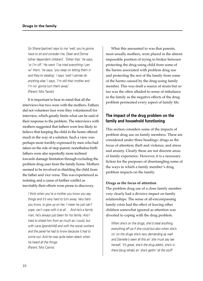So Shane [partner] says to me 'well, you're gonna have to sit and consider me, Dean and Donna [other dependent children]'. 'Either that,' he says, 'or I'm off.' He went 'I've tried everything I can wi' them,' he says, 'you keep on letting them in and they're stealing'. I says 'well I cannae do anything else' I says, 'I'm still their mother and I'm no' gonna turn them away'. (Parent: Mrs Tavish)

It is important to bear in mind that all the interviews bar two were with the mothers. Fathers did not volunteer (nor were they volunteered) for interview, which greatly limits what can be said of their response to the problem. The interviews with mothers suggested that fathers were less likely to believe that keeping the child in the home offered much in the way of a solution. Such a view was perhaps more forcibly expressed by men who had taken on the role of step-parent; nonetheless birth fathers were also reportedly more inclined towards damage limitation through excluding the problem drug user from the family home. Mothers seemed to be involved in shielding the child from the father and vice versa. This was experienced as isolating and a cause of further conflict as inevitably their efforts were prone to discovery.

I think when you're a mother you know you say things and it's very hard to turn away. Very hard you know, to give up on her. I mean he just can't cope, can't cope with it at all … And he's a family man, he's always just been for his family. And I tried to shield him from as much as I could, but with Lana [grandchild] and with the social workers and the panel he had to know because it had to come out. And he was quite taken aback when he heard all the things. (Parent: Mrs Cairns)

What this amounted to was that parents, most usually mothers, were placed in the almost impossible position of trying to broker between protecting the drug-using child from some of the harms associated with problem drug use and protecting the rest of the family from some of the harms caused by the drug-using family member. This was itself a source of strain but so too was the often alluded-to sense of imbalance in the family as the negative effects of the drug problem permeated every aspect of family life.

# **The impact of the drug problem on the family and household functioning**

This section considers some of the impacts of problem drug use on family members. These are considered under three headings: drugs as the focus of attention; theft and violence; and stress and anxiety. Clearly these are not discrete areas of family experience. However, it is a necessary fiction for the purposes of disentangling some of the ways in which a family member's drug problem impacts on the family.

#### **Drugs as the focus of attention**

The problem drug use of a close family member very clearly had a divisive impact on family relationships. The sense of all-encompassing family crisis had the effect of leaving other children somewhat ignored as attention was diverted to coping with the drug problem.

When she's on the drugs, she'd steal anything, everything aff ye if she could but also when she's no' on the drugs she's very demanding as well and Danielle's seen all this an' she must say tae herself, 'it's great, she's the drug addict, she's in there [drug rehab] an' she's gettin' all the stuff'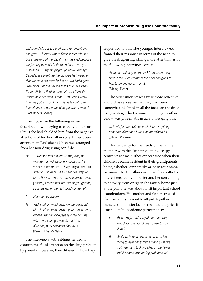and Danielle's got tae work hard for everything she gets … I know where Danielle's comin' fae but at the end of the day I'm torn as well because yer just happy she's in there and she's no' got nuthin' so ... I try tae juggle, ye know, likesay wi' Danielle, we went tae the pictures last week an' that wis an extra treat for her an' we had a good wee night. I'm the person that's tryin' tae keep three folk but I think unfortunate … I think the unfortunate scenario is that … oh I don't know how tae put it … oh I think Danielle could see herself as hard done tae, d'ye get what I mean? (Parent: Mrs Sheen)

The mother in the following extract described how in trying to cope with her son (Paul) she had shielded him from the negative attentions of her two other sons. In her overattention on Paul she had become estranged from her non-drug-using son Ade:

- R: … Ma son that stayed wi' me, Ade, he wisnae married, he finally walked … he went out the house … I kept sayin' tae Ade 'well you go because I'll need tae stay wi' him'. He wis mine, as if they wurnae mines [laughs], I mean that wis the stage I got tae, Paul wis mine, the rest could go tae hell.
- I: How do you mean?
- R: Well I didnae want anybody tae argue wi' him, I didnae want anybody tae touch him, I didnae want anybody tae talk tae him, he wis mine, I wis gonnae deal wi' the situation, but I couldnae deal wi' it. (Parent: Mrs McNabb)

The interviews with siblings tended to confirm this focal attention on the drug problem by parents. However, they differed in how they

responded to this. The younger interviewees framed their response in terms of the need to give the drug-using sibling more attention, as in the following interview extract:

All the attention goes to him? It doesnae really bother me. 'Cos I'd rather the attention goes to him to try and get him aff it. (Sibling: Dean)

The older interviewees were more reflective and did have a sense that they had been somewhat sidelined in all the focus on the drugusing sibling. The 18-year-old younger brother below was phlegmatic in acknowledging this:

… it wis just sometimes it wis just everything about ma sister and I wis just left aside a bit. (Sibling: William)

This tendency for the needs of the family member with the drug problem to occupy centre stage was further exacerbated when their children became resident in their grandparents' home, whether temporarily or, as in four cases, permanently. A brother described the conflict of interest created by his sister and her son coming to detoxify from drugs in the family home just at the point he was about to sit important school examinations. His mother and father stressed that the family needed to all pull together for the sake of his sister but he resented the price it exacted on his academic performance:

- I: Yeah. I'm just thinking about that time, would you say you'd been close to your sister?
- R: Well I've been as close as I can be just trying to help her through it and stuff like that. We just stuck together in the family and if Andrea was having problems wi'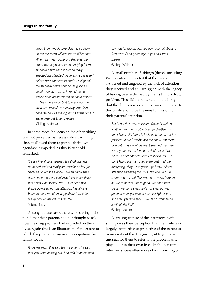drugs then I would take Dan [his nephew] up tae the room wi' me and stuff like that. When that was happening that was the time I was supposed to be studying for ma standard grades and it sort eh really affected ma standard grade effort because I didnae have the time to study. I still got all ma standard grades but no' as good as I could have done … and I'm no' being selfish or anything but ma standard grades … They were important to me. Back then because I was always looking after Dan because he was staying wi' us at the time, I just didnae get time to revise. (Sibling: Andrew)

In some cases the focus on the other sibling was not perceived as necessarily a bad thing since it allowed them to pursue their own agendas unimpeded, as this 19 year old remarked:

'Cause I've always seemed tae think that ma mum and dad and family are heavier on her, just because of wit she's done. Like anything she's done I've no' done. I couldnae think of anything that's bad whatsoever. Not … I've done bad things obviously but the attention has always been on her. I'm no' unhappy about it … It lets me get on wi' ma life. It suits me. (Sibling: Nick)

Amongst these cases there were siblings who noted that their parents had not thought to ask how the drug problem had impacted on their lives. Again this is an illustration of the extent to which the problem drug user monopolises the family focus:

It wis ma mum that said tae me when she said that you were coming out. She said 'It never even

dawned for me tae ask you how you felt about it.' And that wis six years ago, d'ye know wit I mean? (Sibling: William)

A small number of siblings (three), including William above, reported that they were saddened and angered by the lack of attention they received and still struggled with the legacy of having been sidelined by their sibling's drug problem. This sibling remarked on the irony that the children who had not caused damage to the family should be the ones to miss out on their parents' attention.

But I do, I do love ma Ma and Da and I wid do anything' for them but wit can ye dae [laughs]. I don't know, all I know is I wid hate tae be put in a position where I maybe had tae show, not more love but … aye well tae me it seemed that they were gettin' all the love but I don't think they were. Is attention the word I'm lookin' for … I don't know wit it is? They were gettin' all the … everything, they were gettin', ye know, all the attention and everythin' wis Paul and Dan, ye know, and me and Nick wis, 'hey, we're here an' all, we're decent, we're good, we don't take drugs, we don't steal, we'll not steal out yer purse or steal yer fags or steal yer lighter or try and steal yer jewellery … we're no' gonnae do anythin' like that'. (Sibling: Martin)

A striking feature of the interviews with siblings was their perception that their role was largely supportive or protective of the parent or more rarely of the drug-using sibling. It was unusual for them to refer to the problem as it played out in their own lives. In this sense the interviews were often more of a chronicling of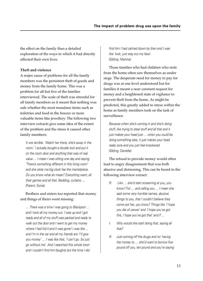the effect on the family than a detailed exploration of the ways in which it had directly affected their own lives.

#### **Theft and violence**

A major cause of problems for all the family members was the persistent theft of goods and money from the family home. This was a problem for all but five of the families interviewed. The scale of theft was stressful for all family members as it meant that nothing was safe whether the most mundane items such as toiletries and food in the freezer or more valuable items like jewellery. The following two interview extracts give some idea of the extent of the problem and the stress it caused other family members:

It wis terrible. 'Watch her there; she's away in the room.' I actually bought a double lock and put it on the room door and anything that was of real value … I mean I was sitting one day and saying 'There's something different in this living room' and she stole ma big clock fae the mantelpiece. Do you know what ah mean? Everything went, all their games and all that. Bedding, curtains … (Parent: Sonia)

Brothers and sisters too reported that money and things of theirs went missing:

… There was a time I was going to Blackpool … and I took all my money out. I was up and I got ready and all of my stuff was packed and ready to walk out the door and I went to get my money where I had hid it and it was gone! I was like ... and I'm in the car and all my friends are 'I'll give you money' … I was like that, 'I can't go. So just go without me'. And I searched this whole town and I couldn't find him [laughs] but the time I did

find him I had calmed down by then and I was like 'look, just stay out my face'. (Sibling: Martina)

Those families who had children who stole from the home often saw themselves as under siege. The desperate need for money to pay for drugs was at one level understood but for families it meant a near constant request for money and a heightened state of vigilance to prevent theft from the home. As might be predicted, this greatly added to stress within the home as family members took on the task of surveillance:

Because when she's coming in and she's doing stuff, like trying to steal stuff and all that and it just makes your head just … when you could be doing something else, it just makes your head really sore and you just feel knackered. (Sibling: Danielle)

The refusal to provide money would often lead to angry disagreement that was both abusive and distressing. This can be heard in the following interview extract:

- R: Like … she'd start screaming at you, you know? For … and calling you … I mean she said some very horrible names, abusive things to you, that I couldn't believe they come oot her, you know? Things like 'I hope you die of cancer' and 'I hope you've got this, I hope you've got that' and if …
- I: Why would she start doing that, saying all that?
- R: Just coming off the drugs and no' having the money to … she'd want to borrow five pound off you, ten pound and you're saying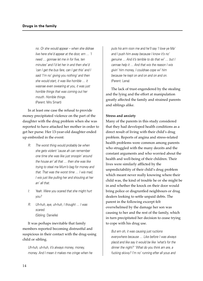no. Or she would appear – when she didnae live here she'd appear at the door, em … 'I need … gonnae let me in for five, ten minutes' and I'd let her in and then she'd 'can I get the bus fare, can I get this' and I said 'I'm no' giving you nothing' and then she would start, it was like horrible … it wasnae even swearing at you, it was just horrible things that was coming out her mouth. Horrible things. (Parent: Mrs Smart)

In at least one case the refusal to provide money precipitated violence on the part of the daughter with the drug problem when she was reported to have attacked her mother in order to get her purse. Her 13-year-old daughter ended up embroiled in the event:

- R: The worst thing would probably be when she gets violent 'cause ah can remember one time she was like just snoopin' around the house an' all that … then she was like trying to steal ma Mum's bag for money and that. That was the worst time … I wis mad, I wis just like pulling her and shouting at her an' all that.
- I: Yeah. Were you scared that she might hurt you?
- R: Uh-huh, aye, uh-huh, I thought … I was scared. (Sibling: Danielle)

It was perhaps inevitable that family members reported becoming distrustful and suspicious in their contact with the drug-using child or sibling.

Uh-huh, uh-huh, it's always money, money, money. And I mean it makes me cringe when he puts his arm roon me and he'll say 'I love ye Ma' and I push him away because I know it's no' genuine … And it's terrible to do that wi' … but I cannae help it … And that wis the reason I wis givin' him money, I couldnae cope wi' him because he kept on and on and on and on. (Parent: Lena)

The lack of trust engendered by the stealing and the lying and the effort at manipulation greatly affected the family and strained parents and siblings alike.

#### **Stress and anxiety**

Many of the parents in this study considered that they had developed health conditions as a direct result of living with their child's drug problem. Reports of angina and stress-related health problems were common among parents who struggled with the many deceits and the constant arguments and who worried about the health and well-being of their children. Their lives were similarly afflicted by the unpredictability of their child's drug problem which meant never really knowing where their child was, the kind of trouble he or she might be in and whether the knock on their door would bring police or disgruntled neighbours or drug dealers looking to settle unpaid debts. The parent in the following excerpt felt overwhelmed by the damage her son was causing to her and the rest of the family, which in turn precipitated her decision to cease trying to cope with his drug use.

But em oh, it was causing just ructions everywhere because … Like before I was always placid and like say it would be like 'what's for the dinner the night?' 'What do you think am are, a fucking skivvy? I'm no' running efter all yous and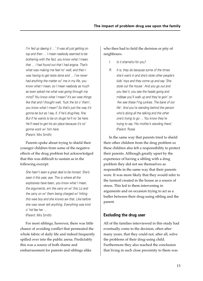I'm fed up daeing it ...' It was all just getting on top and then … I mean naebody seemed to be bothering with the fact, you know what I mean, that … I had found out that I had angina. That's what was making me feel no' well, and then I was having to get tests done and … I've never had anything the matter wi' me in my life, you know what I mean, so I mean naebody as much as even asked me what was going through ma mind? You know what I mean? It's aw wee things like that and I thought well, 'fuck the lot o' them', you know what I mean? So that's just the way it's gonna be but as I say, if, if he's drug-free, fine. But if he wants to be on drugs he'll no' be here. He'll need to get his ain place because it's no' gonna work wi' him here. (Parent: Mrs Smith)

Parents spoke about trying to shield their younger children from some of the negative effects of the drug problem but acknowledged that this was difficult to sustain as in the following excerpt:

She hasn't seen a great deal to be honest. She's seen it this year, aye. This is where all the explosives have been, you know what I mean, the arguments, em the carry on wi' this Liz and the carry on wi' them being charged wi' hitting this wee boy and she knows aw that. Like before she was never telt anything. Everything was kind o' hid fae her … (Parent: Mrs Smith)

For most siblings, however, there was little chance of avoiding conflict that permeated the whole fabric of daily life and indeed frequently spilled over into the public arena. Predictably this was a source of both shame and embarrassment for parents and siblings alike

who then had to field the derision or pity of neighbours.

- I: Is it shameful for you?
- R: It is, they do because some of the times she's went in and she's stole other people's kids' toys and they come up and say 'She stole out the house'. And you go out and you feel it, you see the heads going and mibbae you'll walk up and they're goin' on 'Aw see these f'ing junkies. The bane of oor life'. And you're standing behind the person who's doing all the talking and the other one's trying to go … You know they're trying to say 'His mother's standing there'. (Parent: Rose)

In the same way that parents tried to shield their other children from the drug problem so these children also felt a responsibility to protect their parents. Although greatly upset by the experience of having a sibling with a drug problem they did not see themselves as responsible in the same way that their parents were. It was more likely that they would refer to the turmoil created in the house as a source of stress. This led to them intervening in arguments and on occasion trying to act as a buffer between their drug-using sibling and the parent.

# **Excluding the drug user**

All of the families interviewed in this study had eventually come to the decision, often after many years, that they could not, after all, solve the problems of their drug-using child. Furthermore they also reached the conclusion that living in such close proximity to them was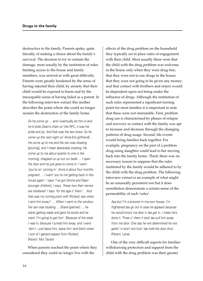destructive to the family. Parents spoke, quite literally, of making a choice about the family's survival. The decision to try to contain the damage, most usually by the institution of rules limiting access to the house and family members, was arrived at with great difficulty. Parents were greatly burdened by the sense of having rejected their child, by anxiety that their child would be exposed to harm and by the inescapable sense of having failed as a parent. In the following interview extract this mother describes the point where she could no longer sustain the destruction of the family home.

So he come up … and I eventually let him in and he'd stole Dean's chain wi' the RFC, it was his pride and joy. And that was the last straw. So he come up the next night wi' Anna [his girlfriend] … He come up to me and the rain was stoating [pouring], and I mean absolutely stoating. He come up to me about quarter to one in the morning, chapped us up out our beds … I open the door and he just goes to come in. I went 'you're no' coming in'. Anna is about four months pregnant … I went 'you're not getting back in this house again'. I says 'I've got Donna and Dean' [younger children], I says, 'these two their nerves are shattered' I says 'for the age o' them'… And that was my turning point with Richard; see when I sent him away? …. When I went to the window the rain was stoating … Shane [partner] … he starts getting ready and gets his boots and he went 'I'm going to get him'. Because of the state I was in, because I turned him away, and I went 'don't – just leave him, leave him' and that's when I sort of I gained respect from Richard. (Parent: Mrs Tavish)

When parents reached the point where they considered they could no longer live with the

effects of the drug problem on the household they typically set in place rules of engagement with their child. Most usually these were that the child with the drug problem was welcome in the house only when they were drug free; that they were not to use drugs in the house; that they were not going to be given any money; and that contact with brothers and sisters would be dependent upon not being under the influence of drugs. Although the institution of such rules represented a significant turning point for most families it is important to note that these were not immutable. First, problem drug use is characterised by phases of relapse and recovery so contact with the family was apt to increase and decrease through the changing patterns of drug usage. Second, life events would bring families back together. For example, pregnancy on the part of a problem drug-using daughter could lead to her moving back into the family home. Third, there was no necessary reason to suppose that the rules instituted by the family would be adhered to by the child with the drug problem. The following interview extract is an example of what might be an unusually persistent son but it does nonetheless demonstrate a certain sense of the permeability of such 'rules'.

Aye but I'm a prisoner in ma own house, I'm frightened tae go oot in case he appears because he would knock ma door in tae get in, I mean he's done it. Three o' them it took tae pull him away from ma door. One day he wis determined he wis gettin' in and I wis tryin' tae hold the door shut. (Parent: Lena)

One of the very difficult aspects for families withdrawing protection and support from the child with the drug problem was their greater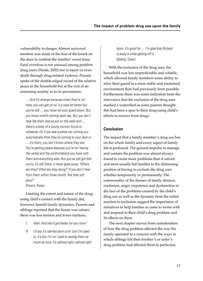vulnerability to danger. Almost universal mention was made of the fear of the knock on the door to confirm the families' worst fears. Fatal overdose is not unusual among problem drug users (Neale, 2002) nor is injury or even death through drug-related violence. Parents spoke of the double-edged sword of the relative peace in the household but at the cost of an unceasing anxiety as to its provenance:

… And it's strange because when they're no' here, you can get on wi' it a wee bit better but you're still … you never let your guard down. But you know what's coming each day. But you don't hear fae them and ye put on the radio and … there's a body of a young woman found or whatever. Or if you see a police car coming you automatically think they're coming to your door or … It's them, you don't know where they are. You're getting peace because you're no' having the verbal and the confrontations you have with them and everything else. But you've still got that worry, it's still there, it never goes away. 'Where are they? What are they doing?' If you don't hear from them within three month 'Are they still alive?' (Parent: Rose)

Limiting the extent and nature of the drugusing child's contact with the family did, however, benefit family dynamics. Parents and siblings reported that the house was calmer; there was less tension and fewer ructions.

- I: Yeah. And has it got better for you now?
- R: I'd say it's calmed doon a bit 'cos I'm used to, it's like I'm no' used to seeing them as much as now, it's calmed right, calmed right

doon. It's good for … I'm glad that Richard is away a while getting off it. (Sibling: Dean)

With the exclusion of the drug user, the household was less unpredictable and volatile, which allowed family members some ability to relax their guard in a more stable and routinised environment than had previously been possible. Furthermore there was some indication from the interviews that the exclusion of the drug user marked a watershed as some parents thought this had been a spur to their drug-using child's efforts to recover from drugs.

#### **Conclusion**

The impact that a family member's drug use has on the whole family and every aspect of family life is profound. The general impulse to manage and contain the problem was almost always found to create more problems than it solved and most usually led families to the distressing position of having to exclude the drug user whether temporarily or permanently. The commonality of the themes of family distress, confusion, anger, impotence and dysfunction in the face of the problems created by the child's drug use as well as the dynamic from the initial reaction to exclusion suggest the importance of initiatives to help families to come to terms with and respond to their child's drug problem and its effects on them.

The next chapter moves from consideration of how the drug problem affected the way the family operated to a concern with the ways in which siblings felt their brother's or sister's drug problem had affected them in particular.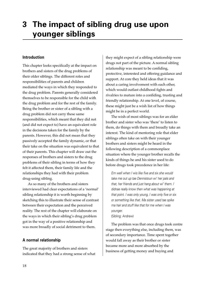# **3 The impact of sibling drug use upon younger siblings**

### **Introduction**

This chapter looks specifically at the impact on brothers and sisters of the drug problems of their older siblings. The different roles and responsibilities of parents and children mediated the ways in which they responded to the drug problem. Parents generally considered themselves to be responsible for the child with the drug problem and for the rest of the family. Being the brother or sister of a sibling with a drug problem did not carry these same responsibilities, which meant that they did not (and did not expect to) have an equivalent role in the decisions taken for the family by the parents. However, this did not mean that they passively accepted the family dynamic, or that their take on the situation was equivalent to that of their parents. This chapter will draw out the responses of brothers and sisters to the drug problems of their sibling in terms of how they felt it affected them, their family life and the relationships they had with their problem drug-using sibling.

As so many of the brothers and sisters interviewed had clear expectations of a 'normal' sibling relationship it is worth beginning by sketching this to illustrate their sense of contrast between their expectation and the perceived reality. The rest of the chapter will elaborate on the ways in which their sibling's drug problem got in the way of a positive relationship and was more broadly of social detriment to them.

#### **A normal relationship**

The great majority of brothers and sisters indicated that they had a strong sense of what

they might expect of a sibling relationship were drugs not part of the picture. A normal sibling relationship was meant to be confiding, protective, interested and offering guidance and support. At core they held ideas that it was about a caring involvement with each other, which would outlast childhood fights and rivalries to mature into a confiding, trusting and friendly relationship. At one level, of course, these might just be a wish list of how things might be in a perfect world.

The wish of most siblings was for an elder brother and sister who was 'there' to listen to them, do things with them and broadly take an interest. The kind of mentoring role that elder siblings often take on with their younger brothers and sisters might be heard in the following description of a commonplace situation where the younger brother recalls the kinds of things he and his sister used to do before drugs took precedence in her life:

Em well when I wis like five and six she would take me out up tae Dennistoun wi' her pals and that, her friends and just hang about wi' them. I didnae really know then what was happening at that point. I was only young, I was only five or six or something like that. Ma sister used tae spike ma hair and stuff like that for me when I was younger. (Sibling: Andrew)

The problem was that once drugs took centre stage then everything else, including them, was of secondary importance. Time spent together would fall away as their brother or sister became more and more absorbed by the business of getting money and buying and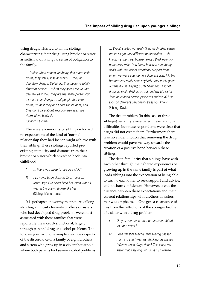using drugs. This led to all the siblings characterising their drug-using brother or sister as selfish and having no sense of obligation to the family.

… I think when people, anybody, that starts takin' drugs, they totally lose all reality … they do definitely change. Definitely, they become totally different people … when they speak tae ye you dae feel as if they, they are the same person but a lot a things change … wi' people that take drugs, it's as if they don't care for life at all, and they don't care about anybody else apart fae themselves basically. (Sibling: Caroline)

There were a minority of siblings who had no expectations of the kind of 'normal' relationship they had lost or might achieve with their sibling. These siblings reported preexisting animosity and distance from their brother or sister which stretched back into childhood.

- I: … Were you close to Tara as a child?
- R: I've never been close to Tara, never … Mum says I've never liked her, even when I was in the pram I didnae like her. (Sibling: Marie Louise)

It is perhaps noteworthy that reports of longstanding animosity towards brothers or sisters who had developed drug problems were most associated with those families that were reportedly the most dysfunctional, largely through parental drug or alcohol problems. The following extract, for example, describes aspects of the discordance of a family of eight brothers and sisters who grew up in a violent household where both parents had severe alcohol problems: … We all started not really liking each other cause we've all got very different personalities … You know, it's the most bizarre family I think ever, for personality wise. You know because everybody deals with the lack of emotional support from when we were younger in a different way. My big brother very rarely sees anybody, very rarely goes out the house. My big sister Sarah took a lot of drugs as well I think as an act, and my big sister Joan developed certain problems and we all just took on different personality traits you know. (Sibling: David)

The drug problem (in this case of three siblings) certainly exacerbated these relational difficulties but these respondents were clear that drugs did not create them. Furthermore there was no evident notion that removing the drug problem would pave the way towards the creation of a positive bond between these siblings.

The deep familiarity that siblings have with each other through their shared experiences of growing up in the same family is part of what leads siblings into the expectation of being able to turn to each other to seek support and advice, and to share confidences. However, it was the distance between these expectations and their current relationships with brothers or sisters that was emphasised. One gets a clear sense of this from the reflections of the younger brother of a sister with a drug problem.

- I: Do you ever sense that drugs have robbed you of a sister?
- R: I dae get that feeling. That feeling passed ma mind and I was just thinking tae maself 'What's these drugs done? This isnae ma sister that's staying wi' us'. It just wisnae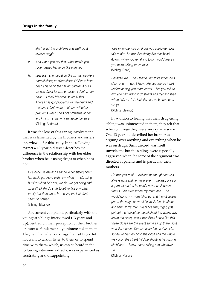like her wi' the problems and stuff. Just always naggin' …

- I: And when you say that, what would you have wished her to be like with you?
- R: Just wish she would be like … just be like a normal sister, an older sister. I'd like to have been able to go tae her wi' problems but I cannae dae it for some reason, I don't know how … I think it's because really that Andrea has got problems wi' the drugs and that and I don't want to hit her wi' other problems when she's got problems of her ain. I think it's that – I cannae be too sure. (Sibling: Andrew)

It was the loss of this caring involvement that was lamented by the brothers and sisters interviewed for this study. In the following extract a 13-year-old sister describes the difference in the relationship with her elder brother when he is using drugs to when he is not.

Like because me and Leanne lelder sisterl don't like really get along with him when … he's using, but like when he's not, we do, we get along and … we'll all like do stuff together like any other family but then when he's using we just don't seem to bother. (Sibling: Eleanor)

A recurrent complaint, particularly with the youngest siblings interviewed (13 years and up), centred on their perception of their brother or sister as fundamentally uninterested in them. They felt that when on drugs their siblings did not want to talk or listen to them or to spend time with them, which, as can be heard in the following interview extracts, was experienced as frustrating and disappointing:

'Cos when he was on drugs you couldnae really talk to him, he was like sitting like that [head down], when you're talking to him you'd feel as if you were talking to yourself. (Sibling: Dean)

Because like … he'll talk to you more when he's clean and … I don't know, like you feel as if he's understanding you more better, – like you talk to him and he'll want to do things and that and then when he's no' he's just like cannae be bothered wi' ye.

(Sibling: Eleanor)

In addition to feeling that their drug-using sibling was uninterested in them, they felt that when on drugs they were very quarrelsome. One 13 year old described her brother as arguing over anything and everything when he was on drugs. Such discord was itself unwelcome but the siblings were especially aggrieved when the force of the argument was directed at parents and in particular their mothers.

He was just total … evil and he thought he was always right and he never ever … he just, once an argument started he would never back down from it. Like even when my mum had … he would go to my mum 'shut up' and then it would get to the stage he would actually lose it, shout and bawl. If my mum went like that, 'right, just get oot the hoose' he would shout the whole way down the close, 'cos it was like a house like this, these closes are the exact same as up there, so it was like a house like that apart fae on that side, so the whole way doon the close and the whole way doon the street he'd be shouting 'ya fucking bitch' and … know, name calling and whatever. So…

(Sibling: Martina)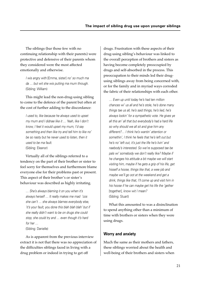The siblings (bar those few with no continuing relationship with their parents) were protective and defensive of their parents whom they considered were the most affected emotionally and otherwise.

I wis angry with [Emma, sister] no' so much ma da … but wit she wis putting ma mum through. (Sibling: William)

This might lead the non-drug-using sibling to come to the defence of the parent but often at the cost of further adding to the discordance:

I used to, like because he always used to upset my mum and I didnae like it … Yeah, like I don't know, I feel it would upset my mum, I'd say something and then like try and tell him to like no' be so nasty but he never used to listen, then it used to be ma fault. (Sibling: Eleanor)

Virtually all of the siblings referred to a tendency on the part of their brother or sister to feel sorry for themselves and furthermore blame everyone else for their problems past or present. This aspect of their brother's or sister's behaviour was described as highly irritating.

… She's always blaming it on you when it's always herself … It really makes me mad 'cos she can't … she always blames everybody else, 'it's your fault, you done this blah blah blah' but if she really didn't want to be on drugs she could stop, she could try and … even though it's hard for her … (Sibling: Danielle)

As is apparent from the previous interview extract it is not that there was no appreciation of the difficulties siblings faced in living with a drug problem or indeed in trying to get off

drugs. Frustration with these aspects of their drug-using sibling's behaviour was linked to the overall perception of brothers and sisters as having become completely preoccupied by drugs and self-absorbed in the process. This preoccupation to their minds led their drugusing siblings away from being concerned with, or for the family and in myriad ways corroded the fabric of their relationships with each other.

… Even up until today he's had ten million chances wi' us all and he's stole, he's done many things tae us all, he's said things, he's lied, he's always lookin' for a sympathetic vote. He gives ye all this an' all that but everybody's had a hard life so why should we all sit and give him any different?… I think he's wantin' attention or somethin', I think he feels that he's left out but he's no' left out, it's just the life he's livin' and naebody's interested. So we're supposed tae be pals wi' somebody we don't really like? Maybe if he changes his attitude a bit maybe we will start visiting him, maybe if he gets a grip of his life, get hisself a hoose, things like that, a wee job and maybe we'll go oot at the weekend and get a drink, things like that, I'll come up and visit him in his hoose if he can maybe get his life the 'gether [together], know wit I mean? (Sibling: Stuart)

What this amounted to was a disinclination to spend anything other than a minimum of time with brothers or sisters when they were using drugs.

# **Worry and anxiety**

Much the same as their mothers and fathers, these siblings worried about the health and well-being of their brothers and sisters when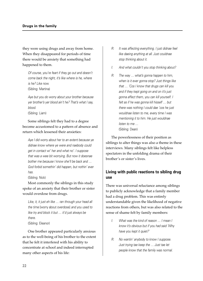they were using drugs and away from home. When they disappeared for periods of time there would be anxiety that something had happened to them.

Of course, you're feart if they go out and doesn't come back the night, it's like where is he, where is he? Like now. (Sibling: Martina)

Aye but you do worry about your brother because yer brother's yer blood ain't he? That's what I say, blood. (Sibling: Liam)

Some siblings felt they had to a degree become accustomed to a pattern of absence and return which lessened their anxieties:

Aye I did worry about her to an extent because ye didnae know where ye were and naebody could get in contact wi' her and what no'. I suppose that was a wee bit worrying. But now it doesnae bother me because I know she'll be back and … God forbid somethin' did happen, but nothin' ever has.

(Sibling: Nick)

Most commonly the siblings in this study spoke of an anxiety that their brother or sister would overdose from drugs.

Like, it, it just eh like ... ran through your head all the time [worry about overdose] and you used to like try and block it but … it'd just always be there. (Sibling: Eleanor)

One brother appeared particularly anxious as to the well-being of his brother to the extent that he felt it interfered with his ability to concentrate at school and indeed interrupted many other aspects of his life:

- R: It was affecting everything. I just didnae feel like daeing anything at all. Just couldnae stop thinking about it.
- I: And what couldn't you stop thinking about?
- R: The way … what's gonna happen to him, when is it ever gonna stop? Just things like that … 'Cos I know that drugs can kill you and if they kept going on and on it's just gonna affect them, you can kill yourself. I felt as if he was gonna kill hisself … but there was nothing I could dae 'cos he just wouldnae listen to me, every time I was mentioning it to him. He just wouldnae listen to me … (Sibling: Dean)

The powerlessness of their position as siblings to alter things was also a theme in these interviews. Many siblings felt like helpless spectators in the unfolding drama of their brother's or sister's lives.

# **Living with public reactions to sibling drug use**

There was universal reluctance among siblings to publicly acknowledge that a family member had a drug problem. This was entirely understandable given the likelihood of negative reactions from others, but was also related to the sense of shame felt by family members:

- I: What was the kind of reason … I mean I know it's obvious but if you had said 'Why have you kept it quiet?'
- R: No wantin' anybody to know I suppose. Just trying tae keep the … Just tae let people know that the family was normal.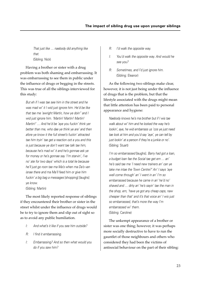That just like … naebody did anything like that. (Sibling: Nick)

Having a brother or sister with a drug problem was both shaming and embarrassing. It was embarrassing to see them in public under the influence of drugs or begging in the streets. This was true of all the siblings interviewed for this study:

But eh if I was tae see him in the street and he was mad wi' it I wid just ignore him. He'd be like that tae me 'awright Martin, how ye doin'' and I wid just ignore him. 'Martin! Martin! Martin! Martin!' … And he'd be 'aye you fuckin' think yer better than me, who dae ye think ye are' and then afore ye know it the full street's fuckin' attracted tae him tryin' tae get a reaction oot a you and this is just because ye don't want tae talk tae him, because he's mad wi' it and he's gonnae ask ye for money or he's gonnae say 'I'm starvin', I've no' ate for two days' which is a total lie because he'll just go roon tae ma Ma's when ma Da's van isnae there and ma Ma'll feed him or give him fuckin' a big bag a messages [shopping] [laughs] ye know. (Sibling: Martin)

The most likely reported response of siblings if they encountered their brother or sister in the street whilst under the influence of drugs would be to try to ignore them and slip out of sight so as to avoid any public humiliation.

- I: And what's it like if you see him outside?
- R: I find it embarrassing.
- I: Embarrassing? And so then what would you do if you saw him?
- R: I'd walk the opposite way.
- I: You'd walk the opposite way. And would he see you?
- R: Sometimes, and I'd just ignore him. (Sibling: Eleanor)

As the following two siblings make clear, however, it is not just being under the influence of drugs that is the problem, but that the lifestyle associated with the drugs might mean that little attention has been paid to personal appearance and hygiene:

Naebody knows he's ma brother but if I wis tae walk about wi' him and he looked the way he's lookin', aye, he wid embarrass us 'cos ye just need tae look at him and you'd say 'aye', ye can tell by just lookin' at a person if they're a junkie or no'. (Sibling: Stuart)

I'm so embarrassed [laughs]. Barry had got a loan, a budget loan fae the Social tae get em … an' he's said tae me 'I need new trainers an' can ye take me intae the Town Centre?' An' I says 'aye well come through' an' I went in an' I'm so embarrassed because he came in an' he'd no' shaved and … dirty an' he's sayin' tae the man in the shop, em, 'have ye got any cheap caps, naw cheaper than that' and it's that voice an' I wis just so embarrassed, that's more the way I'm embarrassed wi' them. (Sibling: Caroline)

The unkempt appearance of a brother or sister was one thing; however, it was perhaps more socially destructive to have to run the gauntlet of those neighbours and others who considered they had been the victims of antisocial behaviour on the part of their sibling: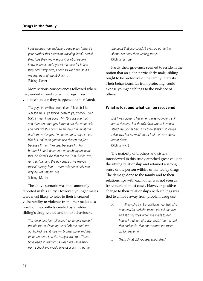I get slagged noo and again, people say 'where's your brother that steals aff washing lines?' and all that, 'cos they know about it, a lot of people know about it, and I got all the stick for it 'cos they don't stay here, I need to live here, so it's me that gets all the stick for it. (Sibling: Dean)

More serious consequences followed where they ended up embroiled in drug-linked violence because they happened to be related:

The guy hit him [his brother] wi' it [baseball bat] <sup>o</sup>'er the heid, 'ya fuckin' bastard ye, Pollock', blah blah, I mean I wis about 14, 15, I wis like that … and then the other guy jumped oot the other side and he's got this big knife an' he's runnin' at me, I don't know this guy, I've never done anythin' tae him but, an' is he gonnae use this on me just because I'm wi' him, just because I'm his brother? I don't deserve that, naebody deserves that. So Sean's like that tae me, 'run, fuckin' run, run', so I ran and the guy chased me maybe fuckin' twenty feet … there wis absolutely nae way he wis catchin' me. (Sibling: Martin)

The above scenario was not commonly reported in this study. However, younger males were most likely to refer to their increased vulnerability to violence from other males as a result of the conflicts created by an elder sibling's drug-related and other behaviours.

The closeness just fell away 'cos he just caused trouble for us. Once he went [left the area] we got bullied, first it was my brother Luke and then when he went into the army it was me. These boys used to wait for us when we came back from school and would give us a doin', it got to

the point that you couldn't even go out to the shops 'cos they'd be waiting for you. (Sibling: Simon)

Partly their grievance seemed to reside in the notion that an elder, particularly male, sibling ought to be protective of the family interests. Their behaviours, far from protecting, could expose younger siblings to the violence of others.

#### **What is lost and what can be recovered**

But I was close to her when I was younger, I still am to this day. But there's days where I cannae stand tae look at her. But I think that's just 'cause I dae love her so much that I feel that way about her at times. (Sibling: Nick)

The majority of brothers and sisters interviewed in this study attached great value to the sibling relationship and retained a strong sense of the person within, untainted by drugs. The damage done to the family and to their relationships with each other was not seen as irrevocable in most cases. However, positive change to their relationships with siblings was tied to a move away from problem drug use:

- R: … When she's in [rehabilitation centre], she phones a lot and she wants tae talk tae me and at Christmas when we went to her house for dinner she was talkin' tae me and that and sayin' that she wanted tae make up for lost time.
- I: Yeah. What did you feel about that?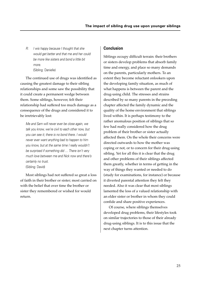R: I wis happy because I thought that she would get better and that me and her could be more like sisters and bond a little bit more. (Sibling: Danielle)

The continued use of drugs was identified as causing the greatest damage to their sibling relationships and some saw the possibility that it could create a permanent wedge between them. Some siblings, however, felt their relationship had suffered too much damage as a consequence of the drugs and considered it to be irretrievably lost:

Me and Sam will never ever be close again, we talk you know, we're civil to each other now, but you can see it; there is no bond there. I would never ever want anything bad to happen to him you know, but at the same time I really wouldn't be surprised if something did … There isn't very much love between me and Nick now and there's certainly no trust. (Sibling: David)

Most siblings had not suffered so great a loss of faith in their brother or sister; most carried on with the belief that over time the brother or sister they remembered or wished for would return.

### **Conclusion**

Siblings occupy difficult terrain: their brothers or sisters develop problems that absorb family time and energy, and place so many demands on the parents, particularly mothers. To an extent they become reluctant onlookers upon the developing family situation, as much of what happens is between the parent and the drug-using child. The stresses and strains described by so many parents in the preceding chapter affected the family dynamic and the quality of the home environment that siblings lived within. It is perhaps testimony to the rather anomalous position of siblings that so few had really considered how the drug problem of their brother or sister actually affected them. On the whole their concerns were directed outwards to how the mother was coping or not, or to concern for their drug-using sibling. Yet for all this it is clear that the drug and other problems of their siblings affected them greatly, whether in terms of getting in the way of things they wanted or needed to do (study for examinations, for instance) or because it diverted parental attention they felt they needed. Also it was clear that most siblings lamented the loss of a valued relationship with an elder sister or brother in whom they could confide and share positive experiences.

Of course, where siblings themselves developed drug problems, their lifestyles took on similar trajectories to those of their already drug-using siblings. It is to this issue that the next chapter turns attention.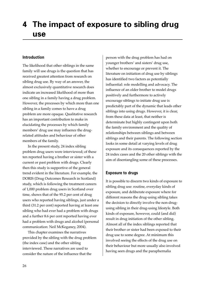# **4 The impact of exposure to sibling drug use**

### **Introduction**

The likelihood that other siblings in the same family will use drugs is the question that has received greatest attention from research on sibling drug use. By way of an answer, the almost exclusively quantitative research does indicate an increased likelihood of more than one sibling in a family having a drug problem. However, the processes by which more than one sibling in a family comes to have a drug problem are more opaque. Qualitative research has an important contribution to make in elucidating the processes by which family members' drug use may influence the drugrelated attitudes and behaviour of other members of the family.

In the present study, 24 index sibling problem drug users were interviewed; of these ten reported having a brother or sister with a current or past problem with drugs. Clearly then this study is supportive of the general trend evident in the literature. For example, the DORIS (Drug Outcomes Research in Scotland) study, which is following the treatment careers of 1,000 problem drug users in Scotland over time, shows that of the 95.2 per cent of drug users who reported having siblings, just under a third (31.2 per cent) reported having at least one sibling who had ever had a problem with drugs and a further 8.6 per cent reported having ever had a problem with drugs and alcohol (personal communication: Neil McKeganey, 2004).

This chapter examines the narratives provided by the sibling with the drug problem (the index case) and the other sibling interviewed. These narratives are used to consider the nature of the influence that the

person with the drug problem has had on younger brothers' and sisters' drug use, whether to encourage or prevent it. The literature on initiation of drug use by siblings has identified two factors as potentially influential: role modelling and advocacy. The influence of an older brother to model drugs positively and furthermore to actively encourage siblings to initiate drug use is predictably part of the dynamic that leads other siblings into using drugs. However, it is clear, from these data at least, that neither is determinate but highly contingent upon both the family environment and the quality of relationships between siblings and between siblings and their parents. The following section looks in some detail at varying levels of drug exposure and its consequences reported by the 24 index cases and the 20 other siblings with the aim of disentangling some of these processes.

# **Exposure to drugs**

It is possible to discern two kinds of exposure to sibling drug use: routine, everyday kinds of exposure, and deliberate exposure where for different reasons the drug-using sibling takes the decision to directly involve the non-drugusing sibling in their drug-using lifestyle. Both kinds of exposure, however, could (and did) result in drug initiation of the other sibling. Almost all of the index siblings reported that their brother or sister had been exposed to their drug use to some degree. At minimum this involved seeing the effects of the drug use on their behaviour but more usually also involved having seen drugs and the paraphernalia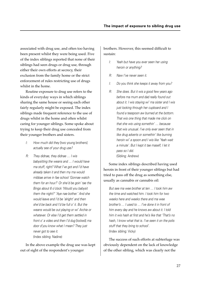associated with drug use, and often too having been present whilst they were being used. Five of the index siblings reported that none of their siblings had seen drugs or drug use, through either their own efforts at secrecy, their exclusion from the family home or the strict enforcement of rules restricting use of drugs whilst in the home.

Routine exposure to drug use refers to the kinds of everyday ways in which siblings sharing the same house or seeing each other fairly regularly might be exposed. The index siblings made frequent reference to the use of drugs whilst in the home and often whilst caring for younger siblings. Some spoke about trying to keep their drug use concealed from their younger brothers and sisters.

- I: How much did they [two young brothers] actually see of your drug use?
- R: They didnae, they didnae … I wis babysitting the weans and … I would have ma stuff, right? What I've got and I'd have already taken it and then my ma would mibbae arrive in fae school 'Gonnae watch them for an hour?' Or she'd be goin' tae the Bingo about 6 o'clock 'Would you babysit them the night?' 'Aye nae bother.' And she would leave and I'd be 'alright' and then she'd be back and I'd be full o' it. But the weans would be out playing or wi' Archie or whatever. Or else I'd get them settled in front o' a video and then I'd dug [locked] ma door d'you know what I mean? They just never got to see it. (Index sibling: Nadine)

In the above example the drug use was kept out of sight of the respondent's younger

brothers. However, this seemed difficult to sustain:

- I: Yeah but have you ever seen her using heroin or anything?
- R: Naw I've never seen it.
- I: Do you think she keeps it away from you?
- R: She does. But it wis a good few years ago before ma mum and dad really found out about it. I wis staying wi' ma sister and I wis just looking through her cupboard and I found a teaspoon aw burned at the bottom. That wis one thing that made me click on that she wis using somethin' … because that wis unusual. I've only ever seen that in like drug adverts or somethin' like burning heroin wi' a spoon and I wis like 'Yeah wait a minute'. But I kept it tae maself, I let it pass so I did. (Sibling: Andrew)

Some index siblings described having used heroin in front of their younger siblings but had tried to pass off the drug as something else, usually as cannabis or cannabis oil:

But see ma wee brother at ten … I took him aw the time and watched him. I took him for two weeks here and weeks there and ma wee brother's … I used to … I've done it in front of him every day and he knows aw about it. I told him it wis hash at first and he's like that 'That's no hash, I know what that is. I've seen it on the polis stuff that they bring to school'. (Index sibling: Vicky)

The success of such efforts at subterfuge was obviously dependent on the lack of knowledge of the other sibling, which was clearly not the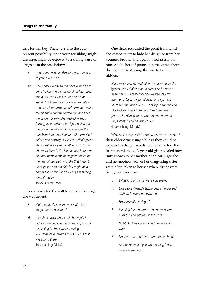case for this boy. There was also the everpresent possibility that a younger sibling might unsuspectingly be exposed to a sibling's use of drugs as in the case below:

- I: And how much has Brenda been exposed to your drug use?
- R: She's only ever seen me once ever dain it and I had sent her in the kitchen tae make a cup o' tea and I wis like that 'She'll be standin' in there for a couple eh minutes.' And I had just woke up and I wis gonna dae ma hit and a had the tourney on and I had the pin in ma arm. She walked in and I fucking went radio rental. I just pulled out the pin in ma arm and I wis like 'Get the fuck back intae that kitchen.' She wis like 'I didnae see nothing.' I wis like 'I don't give a shit whether ye seen anything or no'. 'So she went back in the kitchen and I done ma hit and I went in and apologised for losing the rag wi' her. But I wis like that 'I don't want ye tae see me dain it. I might be a heroin addict but I don't want ye watching what I'm dain.' (Index sibling: Evie)

# Sometimes too the will to conceal the drug use was absent.

- I: Right, right. So she knows what it [the drugs] was and all that?
- R: Aye she knows what it wis but again I didnae care because I wis needing it and I wis taking it. And I wisnae caring, I wouldnae have cared if it wis my ma that wis sitting there. (Index sibling: Vicky)

One sister recounted the point from which she ceased to try to hide her drug use from her younger brother and openly used in front of him. As she herself points out, this came about through not sustaining the care to keep it hidden:

Now, whenever he walked in my room I'd be like [gasps] and I'd hide it or I'd drop it so he never seen it but … I remember he walked into my room one day and I just didnae care. I just sat there like that and I went … I stopped tooting and I looked and went 'what is it?' and he's like … pure … he didnae know what to say. He went 'oh, forget it' and he walked out. (Index sibling: Mandy)

Where younger children were in the care of their older drug-using siblings they could be exposed to drug use outside the home too. For instance, this now 13-year-old girl revealed how, unbeknown to her mother, at an early age she and her nephew (son of her drug-using sister) were often taken to houses where drugs were being dealt and used:

- I: What kind of things were you seeing?
- R: Like I saw Amanda taking drugs, heroin and stuff and I saw her boyfriend.
- I: How was she taking it?
- R: Injecting it in her arms and she was, em, burnin' it and smokin' it and stuff.
- I: Right. And was she trying to hide it from you?
- R: No, not … sometimes, sometimes she did.
- I: And when was it you were seeing it and where were you?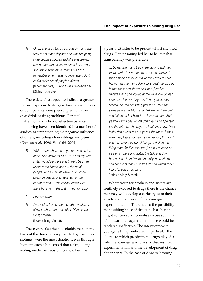R: Oh … she used tae go out and do it and she took me out one day and she was like going intae people's houses and she was leaving me in other rooms, know when I was older she was leaving me in rooms but I can remember when I was younger she'd do it in like stairwells of people's closes [tenement flats] … And I wis like beside her. (Sibling: Danielle)

These data also appear to indicate a greater routine exposure to drugs in families where one or both parents were preoccupied with their own drink or drug problems. Parental inattention and a lack of effective parental monitoring have been identified in a number of studies as strengthening the negative influence of others, including older siblings and peers (Duncan *et al*., 1996; Vakalahi, 2001).

- R: Well … see when, eh, my mum was on the drink? She would let all o' us in and my wee sister would be there and there'd be a few users in the house, and aw the drunk people. And my mum knew it would be going on, like jagging [injecting] in the bedroom and … she knew Colette was there but she … she just … kept drinking.
- I: Kept drinking?
- R: Aye, just didnae bother her. She wouldnae allow it when she was sober. D'you know what I mean? (Index sibling: Annette)

These were also the households that, on the basis of the descriptions provided by the index siblings, were the most chaotic. It was through living in such a household that a drug-using sibling made the decision to allow her (then

9-year-old) sister to be present whilst she used drugs. Her reasoning led her to believe that transparency was preferable:

… So her Mum and Dad were jagging and they were puttin' her out the room all the time and then I started smokin' ma kit and I tried tae put her out the room one day, I says 'Ruth gonnae go in that room and sit the now hen, just five minutes' and she looked at me wi' a look on her face that I'll never forget as if 'no' you as well Sinead, no' ma big sister, you're no' daen the same as wit ma Mum and Dad are doin' are ye?' and I shouted her back in … I says tae her 'Ruth, ye know wit I dae wi this don't ye?' And I pointed tae the foil, em, she says 'uh-huh' and I says 'well look I don't want tae put ye out the room, I don't want tae', I says so 'see it's up tae you, I'm givin' you the choice, ye can either go and sit in the living room for five minutes, just 'til I'm done or ye can sit there and watch the telly and don't bother, just sit and watch the telly in beside me and she went 'can I just sit here and watch telly?' I said 'of course ye can'. (Index sibling: Sinead)

Where younger brothers and sisters are routinely exposed to drugs there is the chance that they will develop a curiosity as to their effects and that this might encourage experimentation. There is also the possibility that a sibling's use of drugs such as heroin might conceivably normalise its use such that taboo warnings against heroin use would be rendered ineffective. The interviews with younger siblings indicated in particular the degree to which proximity to drugs played a role in encouraging a curiosity that resulted in experimentation and the development of drug dependence. In the case of Annette's young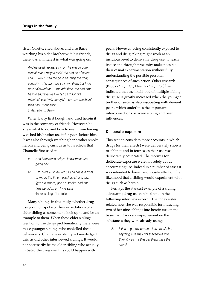sister Colette, cited above, and also Barry watching his older brother with his friends, there was an interest in what was going on:

And he used tae just sit in an' he wid be puffin cannabis and maybe takin' the odd bit of speed and … well I used tae go in an' chap the door, curiosity … I'd want tae sit in wi' them but I wis never allowed tae … the odd time, the odd time he wid say 'aye well ye can sit in for five minutes','cos I wis annoyin' them that much an' then pap us out again. (Index sibling: Barry)

When Barry first bought and used heroin it was in the company of friends. However, he knew what to do and how to use it from having watched his brother use it for years before him. It was also through watching her brother smoke heroin and being curious as to its effects that Chantelle first used it:

- I: And how much did you know what was going on?
- R: Em, quite a lot, he wid sit and dae it in front of me all the time, I used tae sit and say, 'gee's a smoke, gee's a smoke' and one time he did … an' I wis sick! (Index sibling: Chantelle)

Many siblings in this study, whether drug using or not, spoke of their expectations of an elder sibling as someone to look up to and be an example to them. When these elder siblings went on to use drugs problematically there were those younger siblings who modelled these behaviours. Chantelle explicitly acknowledged this, as did other interviewed siblings. It would not necessarily be the older sibling who actually initiated the drug use: this could happen with

peers. However, being consistently exposed to drugs and drug taking might work at an insidious level to demystify drug use, to teach its use and through proximity make possible their casual experimentation without fully understanding the possible personal consequences of such action. Other research (Brook *et al*., 1983; Needle *et al*., 1986) has indicated that the likelihood of multiple sibling drug use is greatly increased when the younger brother or sister is also associating with deviant peers, which underlines the important interconnections between sibling and peer influences.

#### **Deliberate exposure**

This section considers those accounts in which drugs (or their effects) were deliberately shown to siblings and in four cases their use was deliberately advocated. The motives for deliberate exposure were not solely about encouraging use. Indeed in a number of cases it was intended to have the opposite effect on the likelihood that a sibling would experiment with drugs such as heroin.

Perhaps the starkest example of a sibling advocating drug use can be found in the following interview excerpt. The index sister related how she was responsible for inducting two of her nine siblings into heroin use on the basis that it was an improvement on the substances they were already using:

R: I kind o' got my brothers into smack, but anything else they got theirselves into. I think it was me that get them intae the smack …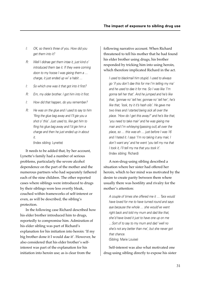- I: OK, so there's three of you. How did you get them into it?
- R: Well I didnae get them intae it, just kind o' introduced them tae it. If they were coming doon to my hoose I was gieing them a … charge, it just ended up wi' a habit …
- I: So which one was it that got into it first?
- R: Em, my older brother. I got him into it first.
- I: How did that happen, do you remember?
- R: He was on the glue and I used to say to him 'fling the glue bag away and I'll gie you a shot o' this'. Just used to, like get him to fling his glue bag away and I'd gie him a charge and then he just ended up in about it.

(Index sibling: Lynette)

It needs to be added that, by her account, Lynette's family had a number of serious problems, particularly the severe alcohol dependence on the part of the mother and the numerous partners who had separately fathered each of the nine children. The other reported cases where siblings were introduced to drugs by their siblings were less overtly bleak, couched within frameworks of self-interest or even, as will be described, the sibling's protection.

In the following case Richard described how his elder brother introduced him to drugs, reportedly to compromise him. Admiration of his elder sibling was part of Richard's explanation for his initiation into heroin: 'If my big brother done it I would dae it'. However, he also considered that his elder brother's selfinterest was part of the explanation for his initiation into heroin use; as is clear from the

following narrative account. When Richard threatened to tell his mother that he had found his elder brother using drugs, his brother responded by tricking him into using heroin, which therefore implicated Richard in the act.

I used to blackmail him stupid. I used to always go 'if you don't dae this for me I'm telling my ma' and he used to dae it for me. So I was like 'I'm gonna tell her that'. And he jumped and he's like that, 'gonnae no' tell her, gonnae no' tell her', he's like that, 'look, try it it's hash oils'. He gave me two lines and I started being sick all over the place. 'How do I get this away?' and he's like that, 'you need to take mair' and he was gieing me mair and I'm whiteying [passing out] all over the place, so … this was eh … just before I was 16 and I hated it. I says 'I'm no taking it any mair, I don't want any' and he went 'you tell my ma that I took it, I'll tell my ma that you took it'. (Index sibling: Richard)

A non-drug-using sibling described a situation where her sister had offered her heroin, which to her mind was motivated by the desire to create parity between them where usually there was hostility and rivalry for the mother's attention:

A couple of times she offered me it … Tara would have loved for me to have turned round and says aye because the whole … she would've went right back and told my mum and dad like that, she'd have loved it just to have one up on me …Sort of to say to my mum and dad 'well no she's not any better than me', but she never got that chance. (Sibling: Marie Louise)

Self-interest was also what motivated one drug-using sibling directly to expose his sister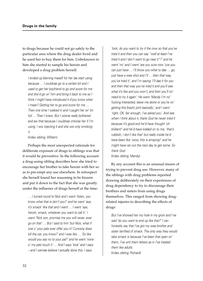to drugs because he could not go safely to the particular area where the drug dealer lived and he used her to buy them for him. Unbeknown to him she started to sample his heroin and developed a drug problem herself.

I ended up blaming maself for her tae start using because … I couldnae go to a certain bit and I used to get her boyfriend to go and score for me and she'd go wi' him and bring it back to me so I think I might have introduced it d'you know what I mean? Getting her to go and score for me … Then one time I walked in and I caught her wi' tin foil … Then I knew. But I wisnie really bothered and aw that because I couldnae criticise her if I'm using. I wis injecting it and she wis only smoking it.

(Index sibling: William)

Perhaps the most unexpected rationale for deliberate exposure of drugs to siblings was that it would be preventive. In the following account a drug-using sibling describes how she tried to encourage her brother to take heroin with her so as to pre-empt any use elsewhere. In retrospect she herself found her reasoning to be bizarre and put it down to the fact that she was greatly under the influence of drugs herself at the time:

… I turned round to Nick and I went 'listen, you know what that is don't you?' and he went 'aye, it's smack' like that and I went … I went 'aye, heroin, smack, whatever you want to call it'. I went 'Nick son, promise me you will never, ever go on that' … But I said to him 'but Nick, what if one o' your pals ever offer you it? Curiosity does kill the cat, you know?' and I was like … 'So like would you say no to your pal?' and he went 'none <sup>o</sup>' my pals touch it' … And I says 'look' and I says – and I cannae believe I actually done this. I says

'look, do you want to try it the now so that you've tried it and then you can say "well at least I've tried it and I don't want to go near it"?' and he went 'no' and I went 'are you sure now 'cos you can just have … I'll show you what to dae … go, just have a wee shot and I'll ... then that way. you've tried it', and I'm saying 'I'll dae it for you and then that way you've tried it and you'll see what it's like and you won't, and then you'll no' need to try it again'. He went 'Mandy I'm no' fucking interested, leave me alone or you're no' getting this [hash] joint basically', and I went 'right, OK, fair enough, I've asked you'. And see when I think about it, thank God he never tried it because it's good and he'd have thought 'oh brilliant!' and he'd have kidded on to me, 'that's rubbish, I don't like that' but really inside he'd have been like 'wow, this is amazing!' and he might have ran out the next day to get some. So thank God. (Index sibling: Mandy)

By any account this is an unusual means of trying to prevent drug use. However, many of the siblings with drug problems reported drawing deliberately on their experiences of drug dependency to try to discourage their brothers and sisters from using drugs themselves. This ranged from showing drugrelated injuries to describing the effects of drugs:

But I've showed her my hole in my groin and I've said 'do you want to end up like that?' I can honestly say that I've got my wee brother and sister terrified of smack. The only way they would take smack is because I've been that open wi' them, I've writ them letters as in I've treated them like adults. (Index sibling: Richard)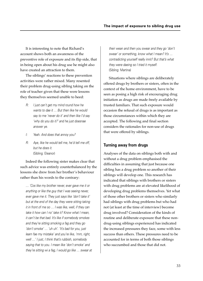It is interesting to note that Richard's account shows both an awareness of the preventive role of exposure and its flip side, that in being open about his drug use he might also have created an attraction to them.

The siblings' reactions to these prevention activities were rather mixed. Many resented their problem drug-using sibling taking on the role of teacher given that these were lessons they themselves seemed unable to heed:

- R: I just can't get my mind round how he wants to dae it … But then like he would say to me 'never do it' and then like I'd say 'why do you do it?' and he just doesnae answer ye.
- I: Yeah. And does that annoy you?
- R: Aye, like he would tell me, he'd tell me off, but he does it. (Sibling: Eleanor)

Indeed the following sister makes clear that such advice was entirely counterbalanced by the lessons she drew from her brother's behaviour rather than his words to the contrary:

… 'Cos like my brother never, ever gave me it or anything or like the guy that I was seeing never, ever gave me it. They just says like 'don't take it' but at the end of the day they were sitting taking it in front of me so … I was like, well, if they can take it how can I no' take it? Know what I mean, it can't be that bad. It's like if somebody smokes and they're sitting smoking a fag and they go 'don't smoke' … 'uh uh'. 'It's bad for you, just learn fae my mistake' and you're like, 'mm, right, well …' I just, I think that's rubbish, somebody saying that to you. I mean like 'don't smoke' and they're sitting wi a fag, I would go like … swear at their wean and then you swear and they go 'don't swear' or something, know what I mean? It's … contradicting yourself really innit? But that's what they were daeing so I tried it myself. (Sibling: Martina)

Situations where siblings are deliberately offered drugs by brothers or sisters, often in the context of the home environment, have to be seen as posing a high risk of encouraging drug initiation as drugs are made freely available by trusted familiars. That such exposure would occasion the refusal of drugs is as important as those circumstances within which they are accepted. The following and final section considers the rationales for non-use of drugs that were offered by siblings.

#### **Turning away from drugs**

Analyses of the data on siblings both with and without a drug problem emphasised the difficulties in assuming that just because one sibling has a drug problem so another of their siblings will develop one. This research has indicated that siblings with brothers or sisters with drug problems are at elevated likelihood of developing drug problems themselves. Yet what of those other brothers or sisters who similarly had siblings with drug problems but who had not (at least at the time of interview) become drug involved? Consideration of the kinds of routine and deliberate exposure that these nondrug-using siblings experienced has indicated the increased pressures they face, some with less success than others. These pressures need to be accounted for in terms of both those siblings who succumbed and those that did not.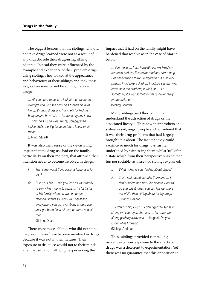The biggest lessons that the siblings who did not take drugs learned were not as a result of any didactic role their drug-using sibling adopted. Instead they were influenced by the example and experience of their problem drugusing sibling. They looked at the appearance and behaviours of their siblings and took these as good reasons for not becoming involved in drugs:

… All you need to do is to look at the boy for an example and just see how he's fucked his own life up through drugs and how he's fucked his body up and how he's … he wis a big boy know … now he's just a wee skinny, scraggy wee junkie. Sells the Big Issue and that, know what I mean.

(Sibling: Stuart)

It was also their sense of the devastating impact that the drug use had on the family, particularly on their mothers, that affirmed their intention never to become involved in drugs:

- I: That's the worst thing about it [drug use] for you?
- R: Ruin your life ... and you lose all your family. I seen what it done to Richard, he lost a lot of his family when he was on drugs. Naebody wants to know you. Steal and … everywhere you go, everybody knows you. Just get booed and all that, battered and all that. (Sibling: Dean)

There were those siblings who did not think they would ever have become involved in drugs because it was not in their natures. Their exposure to drug use would not to their minds alter that situation, although experiencing the

impact that it had on the family might have hardened that resolve as in the case of Martin below:

… I've never … I can honestly put ma hand on ma heart and say I've never tried any sort a drug, I've never tried smokin' a cigarette but just very seldom I wid take a drink … I widnae say that wis because a ma brothers, it wis just … it's somethin', it's just somethin' that's never really interested me … (Sibling: Martin)

Many siblings said they could not understand the attraction of drugs or the associated lifestyle. They saw their brothers or sisters as sad, angry people and considered that it was their drug problems that had largely brought this about. The fact that they could sacrifice so much for drugs was further underlined by witnessing them whilst 'full of it'; a state which from their perspective was neither fun nor sociable, as these two siblings explained:

- I: What, what is your feeling about drugs?
- R: That I just wouldnae take them and … I don't understand how like people want to go and dae it when you can like get more out o' life than sitting about taking drugs. (Sibling: Eleanor)

… I don't know, I just … I don't get the sense in sitting wi' your eyes shut and … I'd rather be sitting gabbing away and … [laughs]. Do you know what I mean? (Sibling: Andrea)

These siblings provided compelling narratives of how exposure to the effects of drugs was a deterrent to experimentation. Yet there was no guarantee that this opposition to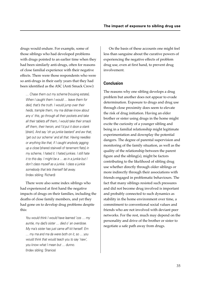drugs would endure. For example, some of those siblings who had developed problems with drugs pointed to an earlier time when they had been similarly anti-drugs, often for reasons of close familial experience with their negative effects. There were those respondents who were so anti-drugs in their early years that they had been identified as the ASC (Anti Smack Crew):

… Chase them out my scheme [housing estate]. When I caught them I would ... leave them for deid, that's the truth. I would jump over their heids, trample them, my ma didnae know about any o' this, go through all their pockets and take all their tablets aff them, I would take their smack aff them, their heroin, and I'd put it doon a stank [drain]. And say 'oh ya junkie bastard' and aw that, 'get out our scheme' and all that. Having needles or anything like that, if I caught anybody jagging up a close [shared stairwell of tenement flats] in my scheme, I hated it. I hated junkies. I still hate it to this day. I might be a … as in a junkie but I don't class myself as a junkie. I class a junkie somebody that lets theirself fall away. (Index sibling: Richard)

There were also some index siblings who had experienced at first hand the negative impacts of drugs on their families, including the deaths of close family members, and yet they had gone on to develop drug problems despite this:

You would think I would have learned 'cos … my auntie, my dad's sister … died o' an overdose. My ma's sister has just came aff kit herself. Em … my ma and ma da were both on it, so … you would think that would teach you to say 'naw', you know what I mean but … dunno. (Index sibling: Shanice)

On the basis of these accounts one might feel less than sanguine about the curative powers of experiencing the negative effects of problem drug use, even at first hand, to prevent drug involvement.

#### **Conclusion**

The reasons why one sibling develops a drug problem but another does not appear to evade determination. Exposure to drugs and drug use through close proximity does seem to elevate the risk of drug initiation. Having an elder brother or sister using drugs in the home might excite the curiosity of a younger sibling and being in a familial relationship might legitimate experimentation and downplay the potential dangers. The degree of parental supervision and monitoring of the family situation, as well as the quality of the relationship between the parent figure and the sibling(s), might be factors contributing to the likelihood of sibling drug use whether directly through older siblings or more indirectly through their associations with friends engaged in problematic behaviours. The fact that many siblings resisted such pressures and did not become drug involved is important and probably connected to such dynamics as stability in the home environment over time, a commitment to conventional social values and friends who are not involved with deviant peer networks. For the rest, much may depend on the personality and drive of the brother or sister to negotiate a safe path away from drugs.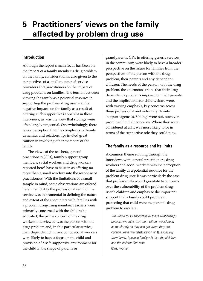# **5 Practitioners' views on the family affected by problem drug use**

# **Introduction**

Although the report's main focus has been on the impact of a family member's drug problem on the family, consideration is also given to the perspectives of a small number of service providers and practitioners on the impact of drug problems on families. The tension between viewing the family as a potential resource in supporting the problem drug user and the negative impacts on the family as a result of offering such support was apparent in these interviews, as was the view that siblings were often largely tangential. Overwhelmingly there was a perception that the complexity of family dynamics and relationships invited great caution in involving other members of the family.

The views of the teachers, general practitioners (GPs), family support group members, social workers and drug workers reported here1 have to be seen as offering no more than a small window into the response of practitioners. With the limitations of a small sample in mind, some observations are offered here. Predictably the professional remit of the service was instrumental in defining the nature and extent of the encounters with families with a problem drug-using member. Teachers were primarily concerned with the child to be educated; the prime concern of the drug workers interviewed was the person with the drug problem and, in this particular service, their dependent children. So too social workers were likely to have a focus on the child and provision of a safe supportive environment for the child in the shape of parents or

grandparents. GPs, in offering generic services in the community, were likely to have a broader perspective on the issues for families from the perspectives of the person with the drug problem, their parents and any dependent children. The needs of the person with the drug problem, the enormous strains that their drug dependency problems imposed on their parents and the implications for child welfare were, with varying emphasis, key concerns across these professional and voluntary (family support) agencies. Siblings were not, however, prominent in their concerns. Where they were considered at all it was most likely to be in terms of the supportive role they could play.

# **The family as a resource and its limits**

A common theme running through the interviews with general practitioners, drug workers and social workers was the perception of the family as a potential resource for the problem drug user. It was particularly the case that professionals would gravitate to concerns over the vulnerability of the problem drug user's children and emphasise the important support that a family could provide in protecting that child were the parent's drug problem to escalate.

We would try to encourage all these relationships because we think that the mothers would need as much help as they can get when they are outside [leave the rehabilitation unit], especially from family, because family will take the children and the children feel safe. (Drug worker)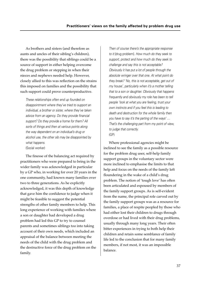As brothers and sisters (and therefore as aunts and uncles of their sibling's children), there was the possibility that siblings could be a source of support in either helping overcome the drug problem or stepping in when their nieces and nephews needed help. However, closely allied to this was reflection on the strains this imposed on families and the possibility that such support could prove counterproductive.

These relationships often end up founded on disappointment where they've tried to support an individual, a brother or sister, where they've taken advice from an agency. Do they provide financial support? Do they provide a home for them? All sorts of things and then at various points along the way dependent on an individual's drug or alcohol use, the other sib may be disappointed by what happens. (Social worker)

The finesse of the balancing act required by practitioners who were prepared to bring in the wider family was acknowledged in particular by a GP who, in working for over 20 years in the one community, had known many families over two to three generations. As he explicitly acknowledged, it was this depth of knowledge that gave him the confidence to judge when it might be feasible to suggest the potential strengths of other family members to help. This long experience of working with families where a son or daughter had developed a drug problem had led this GP to try to counsel parents and sometimes siblings too into taking account of their own needs, which included an appraisal of the balance between meeting the needs of the child with the drug problem and the destructive force of the drug problem on the family.

Then of course there's the appropriate response to it [drug problem]. How much do they seek to support, protect and how much do they seek to challenge and say this is not acceptable? Obviously it has put a lot of people through the absolute wringer over that one. At what point do they break? 'No, this is not acceptable, get out of my house', particularly when it's a mother telling that to a son or daughter. Obviously that happens frequently and obviously my role has been to tell people 'look at what you are feeling, trust your own instincts and if you feel this is leading to death and destruction for the whole family then you have to say it's the parting of the ways' … That's the challenging part from my point of view, to judge that correctly. (GP)

Where professional agencies might be inclined to see the family as a possible resource for the problem drug user, self-help family support groups in the voluntary sector were more inclined to emphasise the limits to that help and focus on the needs of the family left floundering in the wake of a child's drug problem. The notion of 'tough love' has often been articulated and espoused by members of the family support groups. As is self-evident from the name, the principal role carved out by the family support groups was as a resource for families, a place of respite peopled by those who had either lost their children to drugs through overdose or had lived with their drug problems, usually through many long years. Their often bitter experiences in trying to both help their children and retain some semblance of family life led to the conclusion that for many family members, if not most, it was an impossible balance.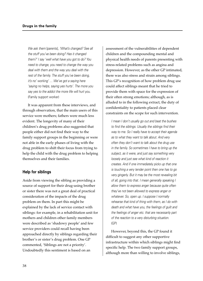We ask them [parents], 'What's changed? See all the stuff you've been doing? Has it changed them?' I say 'well what have you got to do? You need to change, you need to change the way you deal with them and the way you deal with the rest of the family. The stuff you've been doing, it's no' working' … We've got a saying here 'saying no helps, saying yes hurts'. The more you say yes to the addict the more life will hurt you. (Family support worker)

It was apparent from these interviews, and through observation, that the main users of this service were mothers; fathers were much less evident. The longevity of many of their children's drug problems also suggested that people either did not find their way to the family support groups in the beginning or were not able in the early phases of living with the drug problem to shift their focus from trying to help the child with the drug problem to helping themselves and their families.

#### **Help for siblings**

Aside from viewing the sibling as providing a source of support for their drug-using brother or sister there was not a great deal of practical consideration of the impacts of the drug problem on them. In part this might be explained by the lack of service contact with siblings: for example, in a rehabilitation unit for mothers and children other family members were described as 'shadowy people' and few service providers could recall having been approached directly by siblings regarding their brother's or sister's drug problem. One GP commented, 'Siblings are not a priority'. Undoubtedly this sentiment is based on an

assessment of the vulnerabilities of dependent children and the compounding mental and physical health needs of parents presenting with stress-related problems such as angina and depression. However, as the other GP intimated, there was also stress and strain among siblings. This GP's recognition of how problem drug use could affect siblings meant that he tried to provide them with space for the expression of their often strong emotions; although, as is alluded to in the following extract, the duty of confidentiality to patients placed clear constraints on the scope for such intervention.

I mean I don't usually go out and beat the bushes to find the siblings. Usually the siblings find their way to me. So I really have to accept their agenda as to what they want to talk about. And very often they don't want to talk about the drug use in the family. So sometimes I have to bring up the subject, as it were, and just say something very loosely and just see what kind of reaction it creates. And if one immediately picks up that one is touching a very tender point then one has to go very gingerly. But it may be the most revealing bit of all, going into that. I mean generally speaking I allow them to express anger because quite often they've not been allowed to express anger or whatever. So, open up. I suppose I normally rehearse that kind of thing with them, as I do with death and what have you, the feelings of guilt and the feelings of anger etc. that are necessarily part of the reaction to a very disturbing situation. (GP)

However, beyond this, the GP found it difficult to suggest any other supportive infrastructure within which siblings might find specific help. The two family support groups, although more than willing to involve siblings,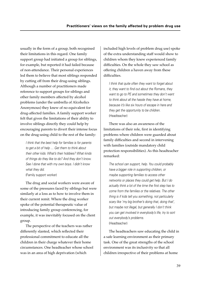usually in the form of a group, both recognised their limitations in this regard. One family support group had initiated a group for siblings, for example, but reported it had failed because of non-attendance. Their personal experiences led them to believe that most siblings responded by cutting off from their drug-using siblings. Although a number of practitioners made reference to support groups for siblings and other family members affected by alcohol problems (under the umbrella of Alcoholics Anonymous) they knew of no equivalent for drug-affected families. A family support worker felt that given the limitations of their ability to involve siblings directly they could help by encouraging parents to divert their intense focus on the drug-using child to the rest of the family:

I think that the best help for families is for parents to get a bit of help … Get them to think about their other kids. What's their hobbies? What kinds of things do they like to do? And they don't know. See I done that with my own boys. I didn't know what they did. (Family support worker)

The drug and social workers were aware of some of the pressures faced by siblings but were similarly at a loss as to how to involve them in their current remit. Where the drug worker spoke of the potential therapeutic value of introducing family group conferencing, for example, it was inevitably focused on the client group.

The perspective of the teachers was rather differently slanted, which reflected their professional commitment to educate all the children in their charge whatever their home circumstances. One headteacher whose school was in an area of high deprivation (which

included high levels of problem drug use) spoke of the extra understanding staff would show to children whom they knew experienced family difficulties. On the whole they saw school as offering children a haven away from these difficulties.

I think that quite often they want to forget about it, they want to find out about the Romans, they want to go to PE and sometimes they don't want to think about all the hassle they have at home, because it's like six hours of escape in here and they get the opportunity to be children. (Headteacher)

There was also an awareness of the limitations of their role, first in identifying problems where children were guarded about family difficulties and second in intervening with families (outside mandatory child protection responsibilities). As this headteacher remarked:

The school can support, help. You could probably have a bigger role in supporting children, or maybe supporting families to access other networks or places they could get help. But I do actually think a lot of the time the first step has to come from the families or the relatives. The other thing is if kids tell you something, not particularly scary like 'my big brother's doing that, doing that', but maybe not illegal, but generally I don't think you can get involved in everybody's life, try to sort out everybody's problems. (Headteacher)

The headteachers saw educating the child in a safe learning environment as their primary task. One of the great strengths of the school environment was its inclusivity so that all children irrespective of their problems at home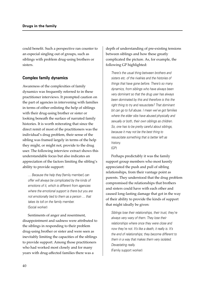could benefit. Such a perspective ran counter to an especial singling out of groups, such as siblings with problem drug-using brothers or sisters.

# **Complex family dynamics**

Awareness of the complexities of family dynamics was frequently referred to in these practitioner interviews. It prompted caution on the part of agencies in intervening with families in terms of either enlisting the help of siblings with their drug-using brother or sister or looking beneath the surface of narrated family histories. It is worth reiterating that since the direct remit of most of the practitioners was the individual's drug problem, their sense of the sibling was framed largely in terms of the help they might, or might not, provide to the drug user. The following interview extract shows this understandable focus but also indicates an appreciation of the factors limiting the sibling's ability to provide support:

… Because the help they [family member] can offer will always be complicated by the kinds of emotions of it, which is different from agencies where the emotional support is there but you are not emotionally tied to them as a person … that takes its toll on the family member. (Social worker)

Sentiments of anger and resentment, disappointment and sadness were attributed to the siblings in responding to their problem drug-using brother or sister and were seen as inevitably limiting the capacities of the siblings to provide support. Among those practitioners who had worked most closely and for many years with drug-affected families there was a

depth of understanding of pre-existing tensions between siblings and how these greatly complicated the picture. As, for example, the following GP highlighted:

There's the usual thing between brothers and sisters etc. of the rivalries and the histories of things that have gone before. There's so many dynamics, from siblings who have always been very dominant so that the drug user has always been dominated by this and therefore is this the right thing to try and resuscitate? That dominant bit can go to full abuse. I mean we've got families where the elder sibs have abused physically and sexually or both, their own siblings as children. So, one has to be pretty careful about siblings, because it may not be the best thing to resuscitate something that is better left as history. (GP)

Perhaps predictably it was the family support group members who most keenly appreciated the push and pull of sibling relationships, from their vantage point as parents. They understood that the drug problem compromised the relationships that brothers and sisters could have with each other and caused long-lasting damage that got in the way of their ability to provide the kinds of support that might ideally be given:

Siblings lose their relationships, their trust, they're always very wary of them. They lose their relationships where once they were close and now they're not. It's like a death, it really is. It's the end of relationships; they become different to them in a way that makes them very isolated. Devastating really. (Family support worker)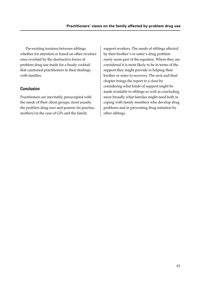Pre-existing tensions between siblings whether for attention or based on other rivalries once overlaid by the destructive forces of problem drug use made for a heady cocktail that cautioned practitioners in their dealings with families.

# **Conclusion**

Practitioners are inevitably preoccupied with the needs of their client groups, most usually the problem drug user and parents (in practice, mothers) in the case of GPs and the family

support workers. The needs of siblings affected by their brother's or sister's drug problem rarely seem part of the equation. Where they are considered it is most likely to be in terms of the support they might provide in helping their brother or sister to recovery. The next and final chapter brings the report to a close by considering what kinds of support might be made available to siblings as well as concluding more broadly what families might need both in coping with family members who develop drug problems and in preventing drug initiation by other siblings.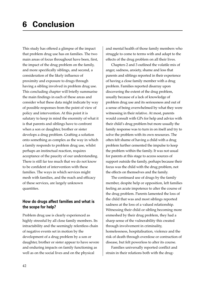This study has offered a glimpse of the impact that problem drug use has on families. The two main areas of focus throughout have been, first, the impact of the drug problem on the family, and more specifically siblings, and second, a consideration of the likely influence of proximity and exposure to drugs through having a sibling involved in problem drug use. This concluding chapter will briefly summarise the main findings in each of these areas and consider what these data might indicate by way of possible responses from the point of view of policy and intervention. At this point it is salutary to keep in mind the enormity of what it is that parents and siblings have to confront when a son or daughter, brother or sister develops a drug problem. Grafting a solution onto something as complex as the way in which a family responds to problem drug use, whilst perhaps an instinctual reaction, requires acceptance of the paucity of our understanding. There is still far too much that we do not know to be confident of intervention with these families. The ways in which services might mesh with families, and the reach and efficacy of these services, are largely unknown quantities.

# **How do drugs affect families and what is the scope for help?**

Problem drug use is clearly experienced as highly stressful by all close family members. Its intractability and the seemingly relentless chain of negative events set in motion by the development of a drug problem by a son or daughter, brother or sister appear to have severe and enduring impacts on family functioning as well as on the social lives and on the physical

and mental health of those family members who struggle to come to terms with and adapt to the effects of the drug problem on all their lives.

Chapters 2 and 3 outlined the volatile mix of anger, sadness, anxiety, shame and loss that parents and siblings reported in their experience of having a close family member with a drug problem. Families reported disarray upon discovering the extent of the drug problem, usually because of a lack of knowledge of problem drug use and its seriousness and out of a sense of being overwhelmed by what they were witnessing in their relative. At most, parents would consult with GPs for help and advice with their child's drug problem but more usually the family response was to turn in on itself and try to solve the problem with its own resources. The often felt shame of having a child with a drug problem further cemented the impulse to keep the problem within the family. It was not usual for parents at this stage to access sources of support outside the family, perhaps because their focus was the child with the drug problem, not the effects on themselves and the family.

The continued use of drugs by the family member, despite help or opposition, left families feeling an acute impotence to alter the course of the drug problem. Parents lamented the loss of the child that was and most siblings reported sadness at the loss of a valued relationship. Witnessing their child or sibling becoming more enmeshed by their drug problem, they had a sharp sense of the vulnerability this created through involvement in criminality, homelessness, hospitalisation, violence and the risk of death through overdose or contraction of disease, but felt powerless to alter its course.

Families universally reported conflict and strain in their relations both with the drug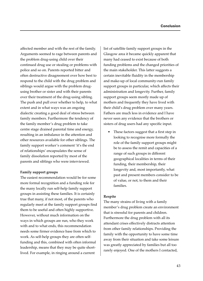affected member and with the rest of the family. Arguments seemed to rage between parents and the problem drug-using child over their continued drug use or stealing or problems with police and so on. Parents reported bitter and often destructive disagreement over how best to respond to the child with the drug problem and siblings would argue with the problem drugusing brother or sister and with their parents over their treatment of the drug-using sibling. The push and pull over whether to help, to what extent and in what ways was an ongoing dialectic creating a good deal of stress between family members. Furthermore the tendency of the family member's drug problem to take centre stage drained parental time and energy, resulting in an imbalance in the attention and other resources available for other siblings. The family support worker's comment 'it's the end of relationships' encapsulates the sense of family dissolution reported by most of the parents and siblings who were interviewed.

#### **Family support groups**

The easiest recommendation would be for some more formal recognition and a funding role for the many locally run self-help family support groups in assisting these families. It is certainly true that many, if not most, of the parents who regularly meet at the family support groups find them to be useful and often highly supportive. However, without much information on the ways in which groups are run, who they work with and to what ends, this recommendation needs some firmer evidence base from which to work. As self-help groups they are often selffunding and this, combined with often informal leadership, means that they may be quite shortlived. For example, in ringing around a current

list of satellite family support groups in the Glasgow area it became quickly apparent that many had ceased to exist because of both funding problems and the changed priorities of the main stakeholder. This latter suggests a certain inevitable fluidity in the membership and make-up of local community-run family support groups in particular, which affects their administration and longevity. Further, family support groups seem mostly made up of mothers and frequently they have lived with their child's drug problem over many years. Fathers are much less in evidence and I have never seen any evidence that the brothers or sisters of drug users had any specific input.

These factors suggest that a first step in looking to recognise more formally the role of the family support groups might be to assess the remit and capacities of a range of such groups in different geographical localities in terms of their funding, their membership, their longevity and, most importantly, what past and present members consider to be of value, or not, to them and their families.

#### **Respite**

The many strains of living with a family member's drug problem create an environment that is stressful for parents and children. Furthermore the drug problem with all its attendant crises effectively distracts attention from other family relationships. Providing the family with the opportunity to have some time away from their situation and take some leisure was greatly appreciated by families but all too rarely enjoyed. One of the mothers I contacted,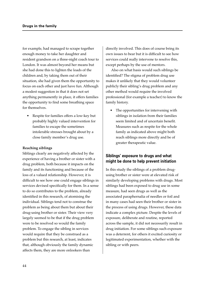for example, had managed to scrape together enough money to take her daughter and resident grandson on a three-night coach tour to London. It was almost beyond her means but she had done this to lighten the loads of the children and, by taking them out of their situation, she had given them the opportunity to focus on each other and just have fun. Although a modest suggestion in that it does not set anything permanently in place, it offers families the opportunity to find some breathing space for themselves.

• Respite for families offers a low-key but probably highly valued intervention for families to escape the sometimes intolerable stresses brought about by a close family member's drug use.

#### **Reaching siblings**

Siblings clearly are negatively affected by the experience of having a brother or sister with a drug problem, both because it impacts on the family and its functioning and because of the loss of a valued relationship. However, it is difficult to see how one could engage siblings in services devised specifically for them. In a sense to do so contributes to the problem, already identified in this research, of atomising the individual. Siblings tend not to construe the problem as being about them but about their drug-using brother or sister. Their view very largely seemed to be that if the drug problem were to be resolved so would the family problem. To engage the sibling in services would require that they be construed as a problem but this research, at least, indicates that, although obviously the family dynamic affects them, they are more onlookers than

directly involved. This does of course bring its own issues to bear but it is difficult to see how services could really intervene to resolve this, except perhaps by the use of mentors.

Also on what basis would such siblings be identified? The stigma of problem drug use makes it unlikely that they would volunteer publicly their sibling's drug problem and any other method would require the involved professional (for example a teacher) to know the family history.

The opportunities for intervening with siblings in isolation from their families seem limited and of uncertain benefit. Measures such as respite for the whole family as indicated above might both reach siblings more directly and be of greater therapeutic value.

### **Siblings' exposure to drugs and what might be done to help prevent initiation**

In this study the siblings of a problem drugusing brother or sister were at elevated risk of similarly developing problems with drugs. Most siblings had been exposed to drug use in some measure, had seen drugs as well as the associated paraphernalia of needles or foil and in many cases had seen their brother or sister in the process of using drugs. However, these data indicate a complex picture. Despite the levels of exposure, deliberate and routine, reported across the sample, it did not necessarily result in drug initiation. For some siblings such exposure was a deterrent, for others it excited curiosity or legitimated experimentation, whether with the sibling or with peers.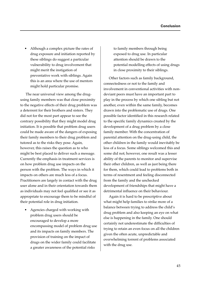• Although a complex picture the rates of drug exposure and initiation reported by these siblings do suggest a particular vulnerability to drug involvement that might merit the instigation of preventative work with siblings. Again this is an area where the use of mentors might hold particular promise.

The near universal view among the drugusing family members was that close proximity to the negative effects of their drug problem was a deterrent for their brothers and sisters. They did not for the most part appear to see the contrary possibility that they might model drug initiation. It is possible that problem drug users could be made aware of the dangers of exposing their family members to their drug problem and tutored as to the risks they pose. Again, however, this raises the question as to who might be best placed to deliver such a message. Currently the emphasis in treatment services is on how problem drug use impacts on the person with the problem. The ways in which it impacts on others are much less of a focus. Practitioners are largely in contact with the drug user alone and in their orientation towards them as individuals may not feel qualified or see it as appropriate to encourage them to be mindful of their potential role in drug initiation.

• Agencies charged with working with problem drug users should be encouraged to develop a more encompassing model of problem drug use and its impacts on family members. The provision of training on the impact of drugs on the wider family could facilitate a greater awareness of the potential risks

to family members through being exposed to drug use. In particular attention should be drawn to the potential modelling effects of using drugs in close proximity to their siblings.

Other factors such as family background, connectedness or not to the family and involvement in conventional activities with nondeviant peers must have an important part to play in the process by which one sibling but not another, even within the same family, becomes drawn into the problematic use of drugs. One possible factor identified in this research related to the specific family dynamics created by the development of a drug problem by a close family member. With the concentration of parental attention on the drug-using child, the other children in the family would inevitably be less of a focus. Some siblings welcomed this and some did not; however, one result was a lesser ability of the parents to monitor and supervise their other children, as well as just being there for them, which could lead to problems both in terms of resentment and feeling disconnected from the family and the unchecked development of friendships that might have a detrimental influence on their behaviour.

Again it is hard to be prescriptive about what might help families to strike more of a balance between trying to address the child's drug problem and also keeping an eye on what else is happening in the family. One should certainly not underestimate the difficulties of trying to retain an even focus on all the children given the often acute, unpredictable and overwhelming torrent of problems associated with the drug use.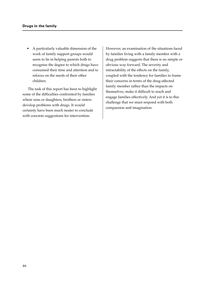• A particularly valuable dimension of the work of family support groups would seem to lie in helping parents both to recognise the degree to which drugs have consumed their time and attention and to refocus on the needs of their other children.

The task of this report has been to highlight some of the difficulties confronted by families where sons or daughters, brothers or sisters develop problems with drugs. It would certainly have been much neater to conclude with concrete suggestions for intervention.

However, an examination of the situations faced by families living with a family member with a drug problem suggests that there is no simple or obvious way forward. The severity and intractability of the effects on the family, coupled with the tendency for families to frame their concerns in terms of the drug-affected family member rather than the impacts on themselves, make it difficult to reach and engage families effectively. And yet it is to this challenge that we must respond with both compassion and imagination.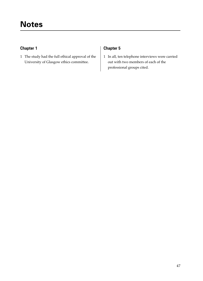# **Chapter 1**

1 The study had the full ethical approval of the University of Glasgow ethics committee.

# **Chapter 5**

1 In all, ten telephone interviews were carried out with two members of each of the professional groups cited.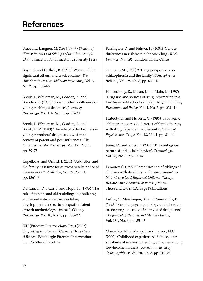# **References**

Bluebond-Langner, M. (1996) *In the Shadow of Illness: Parents and Siblings of the Chronically Ill Child*. Princeton, NJ: Princeton University Press

Boyd, C. and Guthrie, B. (1996) 'Women, their significant others, and crack cocaine', *The American Journal of Addiction Psychiatry*, Vol. 5, No. 2, pp. 156–66

Brook, J., Whiteman, M., Gordon, A. and Brenden, C. (1983) 'Older brother's influence on younger sibling's drug use', *Journal of Psychology*, Vol. 114, No. 1, pp. 83–90

Brook, J., Whiteman, M., Gordon, A. and Brook, D.W. (1989) 'The role of older brothers in younger brothers' drug use viewed in the context of parent and peer influences', *The Journal of Genetic Psychology*, Vol. 151, No. 1, pp. 59–75

Copello, A. and Orford, J. (2002) 'Addiction and the family: is it time for services to take notice of the evidence?', *Addiction*, Vol. 97, No. 11, pp. 1361–3

Duncan, T., Duncan, S. and Hops, H. (1996) 'The role of parents and older siblings in predicting adolescent substance use: modeling development via structural equation latent growth methodology', *Journal of Family Psychology*, Vol. 10, No. 2, pp. 158–72

EIU (Effective Interventions Unit) (2002) *Supporting Families and Carers of Drug Users: A Review*. Edinburgh: Effective Interventions Unit, Scottish Executive

Farrington, D. and Painter, K. (2004) 'Gender differences in risk factors for offending', *RDS Findings*, No. 196. London: Home Office

Gerace, L.M. (1993) 'Sibling perspectives on schizophrenia and the family', *Schizophrenia Bulletin*, Vol. 19, No. 3, pp. 637–47

Hammersley, R., Ditton, J. and Main, D. (1997) 'Drug use and sources of drug information in a 12–16-year-old school sample', *Drugs: Education, Prevention and Policy*, Vol. 4, No. 3, pp. 231–41

Huberty, D. and Huberty, C. (1986) 'Sabotaging siblings: an overlooked aspect of family therapy with drug dependent adolescents', *Journal of Psychoactive Drugs*, Vol. 18, No. 1, pp. 31–41

Jones, M. and Jones, D. (2000) 'The contagious nature of antisocial behavior', *Criminology*, Vol. 38, No. 1, pp. 25–47

Lamorey, S. (1999) 'Parentification of siblings of children with disability or chronic disease', in N.D. Chase (ed.) *Burdened Children: Theory, Research and Treatment of Parentification*. Thousand Oaks, CA: Sage Publications

Luthar, S., Merikangas, K. and Rounsaville, B. (1993) 'Parental psychopathology and disorders in offspring – a study of relatives of drug users', *The Journal of Nervous and Mental Disease*, Vol. 181, No. 6, pp. 351–7

Marcenko, M.O., Kemp, S. and Larson, N.C. (2000) 'Childhood experiences of abuse, later substance abuse and parenting outcomes among low-income mothers', *American Journal of Orthopsychiatry*, Vol. 70, No. 3, pp. 316–26